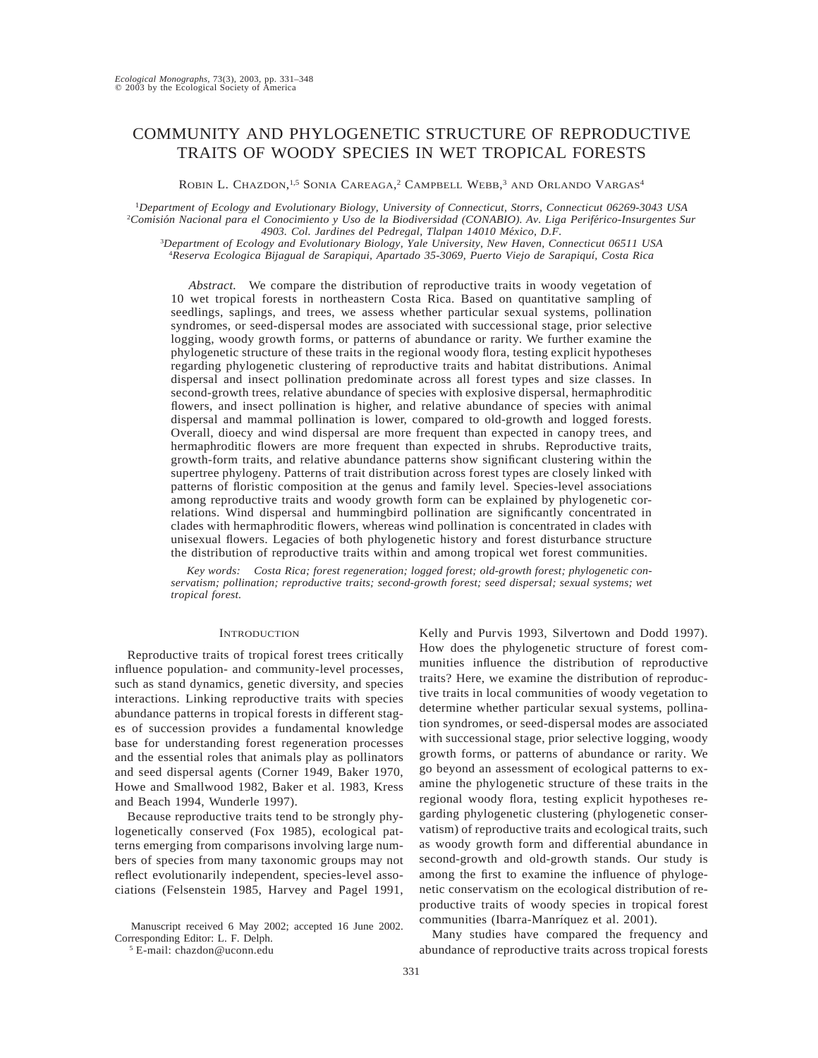# COMMUNITY AND PHYLOGENETIC STRUCTURE OF REPRODUCTIVE TRAITS OF WOODY SPECIES IN WET TROPICAL FORESTS

ROBIN L. CHAZDON,<sup>1,5</sup> SONIA CAREAGA,<sup>2</sup> CAMPBELL WEBB,<sup>3</sup> AND ORLANDO VARGAS<sup>4</sup>

<sup>1</sup>*Department of Ecology and Evolutionary Biology, University of Connecticut, Storrs, Connecticut 06269-3043 USA* <sup>2</sup>Comisión Nacional para el Conocimiento y Uso de la Biodiversidad (CONABIO). Av. Liga Periférico-Insurgentes Sur 4903. Col. Jardines del Pedregal, Tlalpan 14010 México, D.F.

3 *Department of Ecology and Evolutionary Biology, Yale University, New Haven, Connecticut 06511 USA* 4 *Reserva Ecologica Bijagual de Sarapiqui, Apartado 35-3069, Puerto Viejo de Sarapiquı´, Costa Rica*

*Abstract.* We compare the distribution of reproductive traits in woody vegetation of 10 wet tropical forests in northeastern Costa Rica. Based on quantitative sampling of seedlings, saplings, and trees, we assess whether particular sexual systems, pollination syndromes, or seed-dispersal modes are associated with successional stage, prior selective logging, woody growth forms, or patterns of abundance or rarity. We further examine the phylogenetic structure of these traits in the regional woody flora, testing explicit hypotheses regarding phylogenetic clustering of reproductive traits and habitat distributions. Animal dispersal and insect pollination predominate across all forest types and size classes. In second-growth trees, relative abundance of species with explosive dispersal, hermaphroditic flowers, and insect pollination is higher, and relative abundance of species with animal dispersal and mammal pollination is lower, compared to old-growth and logged forests. Overall, dioecy and wind dispersal are more frequent than expected in canopy trees, and hermaphroditic flowers are more frequent than expected in shrubs. Reproductive traits, growth-form traits, and relative abundance patterns show significant clustering within the supertree phylogeny. Patterns of trait distribution across forest types are closely linked with patterns of floristic composition at the genus and family level. Species-level associations among reproductive traits and woody growth form can be explained by phylogenetic correlations. Wind dispersal and hummingbird pollination are significantly concentrated in clades with hermaphroditic flowers, whereas wind pollination is concentrated in clades with unisexual flowers. Legacies of both phylogenetic history and forest disturbance structure the distribution of reproductive traits within and among tropical wet forest communities.

*Key words: Costa Rica; forest regeneration; logged forest; old-growth forest; phylogenetic conservatism; pollination; reproductive traits; second-growth forest; seed dispersal; sexual systems; wet tropical forest.*

### **INTRODUCTION**

Reproductive traits of tropical forest trees critically influence population- and community-level processes, such as stand dynamics, genetic diversity, and species interactions. Linking reproductive traits with species abundance patterns in tropical forests in different stages of succession provides a fundamental knowledge base for understanding forest regeneration processes and the essential roles that animals play as pollinators and seed dispersal agents (Corner 1949, Baker 1970, Howe and Smallwood 1982, Baker et al. 1983, Kress and Beach 1994, Wunderle 1997).

Because reproductive traits tend to be strongly phylogenetically conserved (Fox 1985), ecological patterns emerging from comparisons involving large numbers of species from many taxonomic groups may not reflect evolutionarily independent, species-level associations (Felsenstein 1985, Harvey and Pagel 1991,

Manuscript received 6 May 2002; accepted 16 June 2002. Corresponding Editor: L. F. Delph.

<sup>5</sup> E-mail: chazdon@uconn.edu

Kelly and Purvis 1993, Silvertown and Dodd 1997). How does the phylogenetic structure of forest communities influence the distribution of reproductive traits? Here, we examine the distribution of reproductive traits in local communities of woody vegetation to determine whether particular sexual systems, pollination syndromes, or seed-dispersal modes are associated with successional stage, prior selective logging, woody growth forms, or patterns of abundance or rarity. We go beyond an assessment of ecological patterns to examine the phylogenetic structure of these traits in the regional woody flora, testing explicit hypotheses regarding phylogenetic clustering (phylogenetic conservatism) of reproductive traits and ecological traits, such as woody growth form and differential abundance in second-growth and old-growth stands. Our study is among the first to examine the influence of phylogenetic conservatism on the ecological distribution of reproductive traits of woody species in tropical forest communities (Ibarra-Manríquez et al. 2001).

Many studies have compared the frequency and abundance of reproductive traits across tropical forests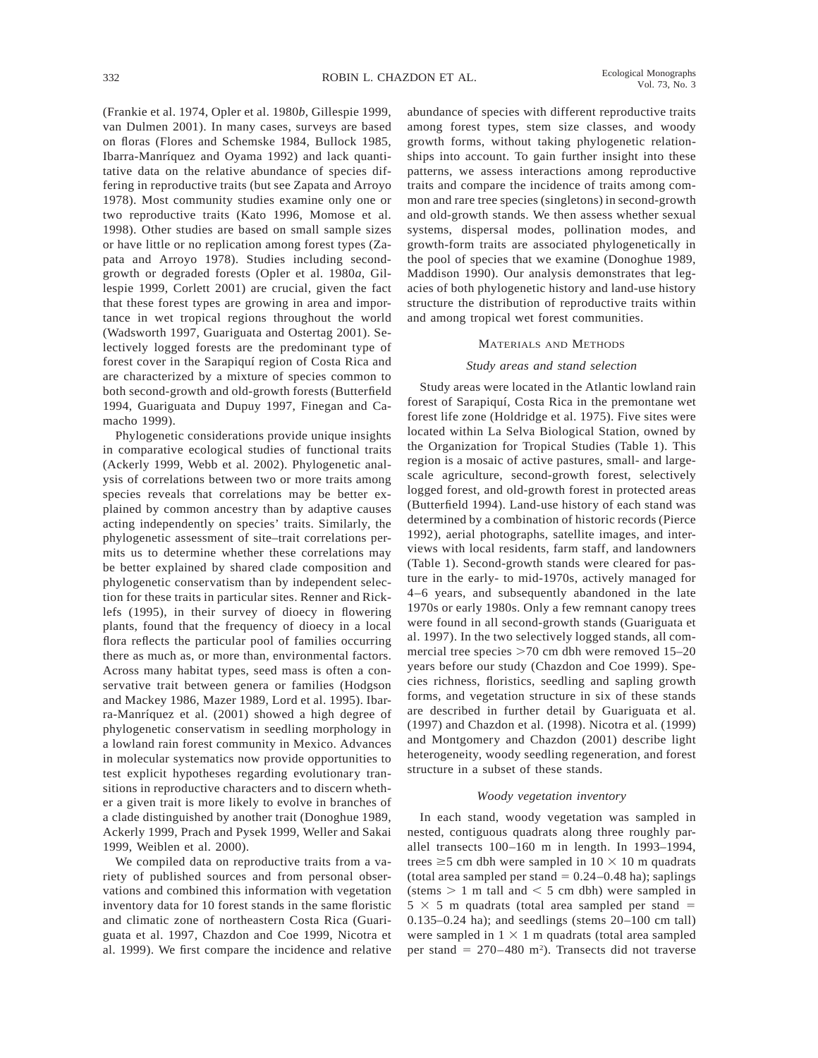(Frankie et al. 1974, Opler et al. 1980*b*, Gillespie 1999, van Dulmen 2001). In many cases, surveys are based on floras (Flores and Schemske 1984, Bullock 1985, Ibarra-Manríquez and Oyama 1992) and lack quantitative data on the relative abundance of species differing in reproductive traits (but see Zapata and Arroyo 1978). Most community studies examine only one or two reproductive traits (Kato 1996, Momose et al. 1998). Other studies are based on small sample sizes or have little or no replication among forest types (Zapata and Arroyo 1978). Studies including secondgrowth or degraded forests (Opler et al. 1980*a*, Gillespie 1999, Corlett 2001) are crucial, given the fact that these forest types are growing in area and importance in wet tropical regions throughout the world (Wadsworth 1997, Guariguata and Ostertag 2001). Selectively logged forests are the predominant type of forest cover in the Sarapiquí region of Costa Rica and are characterized by a mixture of species common to both second-growth and old-growth forests (Butterfield 1994, Guariguata and Dupuy 1997, Finegan and Camacho 1999).

Phylogenetic considerations provide unique insights in comparative ecological studies of functional traits (Ackerly 1999, Webb et al. 2002). Phylogenetic analysis of correlations between two or more traits among species reveals that correlations may be better explained by common ancestry than by adaptive causes acting independently on species' traits. Similarly, the phylogenetic assessment of site–trait correlations permits us to determine whether these correlations may be better explained by shared clade composition and phylogenetic conservatism than by independent selection for these traits in particular sites. Renner and Ricklefs (1995), in their survey of dioecy in flowering plants, found that the frequency of dioecy in a local flora reflects the particular pool of families occurring there as much as, or more than, environmental factors. Across many habitat types, seed mass is often a conservative trait between genera or families (Hodgson and Mackey 1986, Mazer 1989, Lord et al. 1995). Ibarra-Manríquez et al. (2001) showed a high degree of phylogenetic conservatism in seedling morphology in a lowland rain forest community in Mexico. Advances in molecular systematics now provide opportunities to test explicit hypotheses regarding evolutionary transitions in reproductive characters and to discern whether a given trait is more likely to evolve in branches of a clade distinguished by another trait (Donoghue 1989, Ackerly 1999, Prach and Pysek 1999, Weller and Sakai 1999, Weiblen et al. 2000).

We compiled data on reproductive traits from a variety of published sources and from personal observations and combined this information with vegetation inventory data for 10 forest stands in the same floristic and climatic zone of northeastern Costa Rica (Guariguata et al. 1997, Chazdon and Coe 1999, Nicotra et al. 1999). We first compare the incidence and relative

abundance of species with different reproductive traits among forest types, stem size classes, and woody growth forms, without taking phylogenetic relationships into account. To gain further insight into these patterns, we assess interactions among reproductive traits and compare the incidence of traits among common and rare tree species (singletons) in second-growth and old-growth stands. We then assess whether sexual systems, dispersal modes, pollination modes, and growth-form traits are associated phylogenetically in the pool of species that we examine (Donoghue 1989, Maddison 1990). Our analysis demonstrates that legacies of both phylogenetic history and land-use history structure the distribution of reproductive traits within and among tropical wet forest communities.

#### MATERIALS AND METHODS

### *Study areas and stand selection*

Study areas were located in the Atlantic lowland rain forest of Sarapiquí, Costa Rica in the premontane wet forest life zone (Holdridge et al. 1975). Five sites were located within La Selva Biological Station, owned by the Organization for Tropical Studies (Table 1). This region is a mosaic of active pastures, small- and largescale agriculture, second-growth forest, selectively logged forest, and old-growth forest in protected areas (Butterfield 1994). Land-use history of each stand was determined by a combination of historic records (Pierce 1992), aerial photographs, satellite images, and interviews with local residents, farm staff, and landowners (Table 1). Second-growth stands were cleared for pasture in the early- to mid-1970s, actively managed for 4–6 years, and subsequently abandoned in the late 1970s or early 1980s. Only a few remnant canopy trees were found in all second-growth stands (Guariguata et al. 1997). In the two selectively logged stands, all commercial tree species  $>70$  cm dbh were removed 15–20 years before our study (Chazdon and Coe 1999). Species richness, floristics, seedling and sapling growth forms, and vegetation structure in six of these stands are described in further detail by Guariguata et al. (1997) and Chazdon et al. (1998). Nicotra et al. (1999) and Montgomery and Chazdon (2001) describe light heterogeneity, woody seedling regeneration, and forest structure in a subset of these stands.

#### *Woody vegetation inventory*

In each stand, woody vegetation was sampled in nested, contiguous quadrats along three roughly parallel transects 100–160 m in length. In 1993–1994, trees  $\geq$  5 cm dbh were sampled in 10  $\times$  10 m quadrats (total area sampled per stand  $= 0.24-0.48$  ha); saplings (stems  $> 1$  m tall and  $< 5$  cm dbh) were sampled in  $5 \times 5$  m quadrats (total area sampled per stand =  $0.135-0.24$  ha); and seedlings (stems  $20-100$  cm tall) were sampled in  $1 \times 1$  m quadrats (total area sampled per stand =  $270-480$  m<sup>2</sup>). Transects did not traverse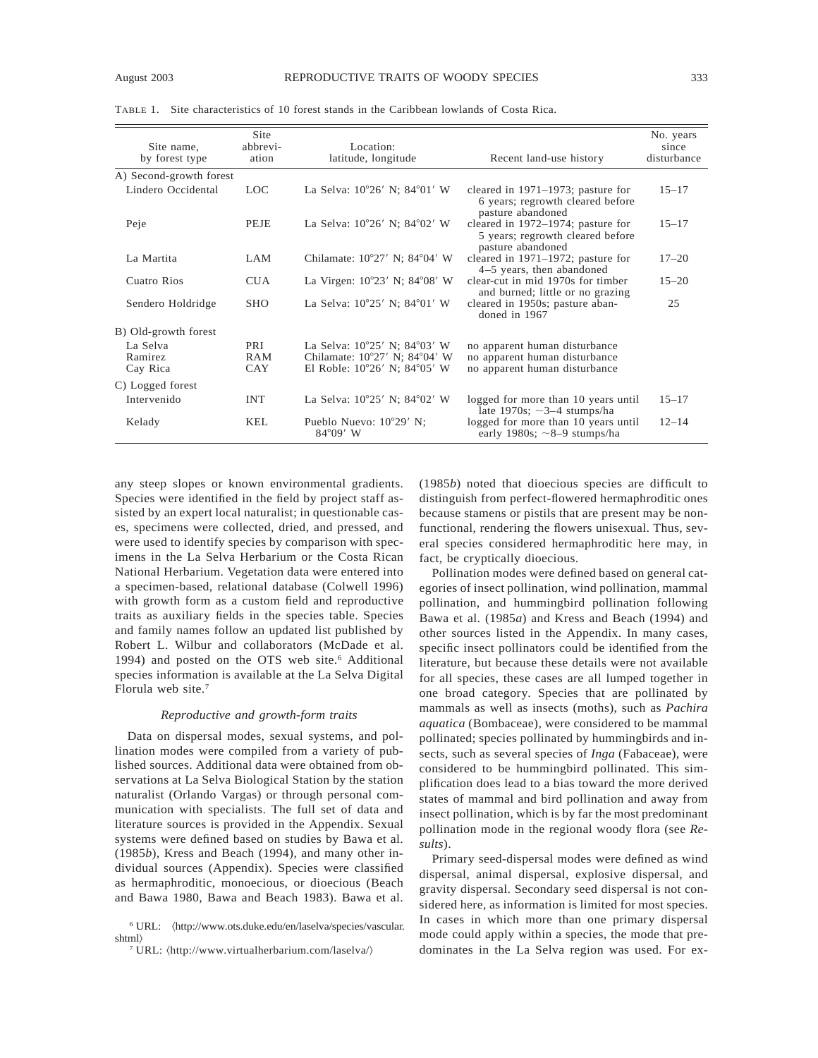| Site name.<br>by forest type | Site<br>abbrevi-<br>ation | Location:<br>latitude, longitude                      | Recent land-use history                                                                    | No. years<br>since<br>disturbance |
|------------------------------|---------------------------|-------------------------------------------------------|--------------------------------------------------------------------------------------------|-----------------------------------|
| A) Second-growth forest      |                           |                                                       |                                                                                            |                                   |
| Lindero Occidental           | LOC.                      | La Selva: 10°26' N; 84°01' W                          | cleared in 1971–1973; pasture for<br>6 years; regrowth cleared before<br>pasture abandoned | $15 - 17$                         |
| Peje                         | <b>PEJE</b>               | La Selva: 10°26' N; 84°02' W                          | cleared in 1972–1974; pasture for<br>5 years; regrowth cleared before<br>pasture abandoned | $15 - 17$                         |
| La Martita                   | LAM                       | Chilamate: $10^{\circ}27'$ N; $84^{\circ}04'$ W       | cleared in 1971-1972; pasture for<br>4–5 years, then abandoned                             | $17 - 20$                         |
| Cuatro Rios                  | <b>CUA</b>                | La Virgen: $10^{\circ}23'$ N; $84^{\circ}08'$ W       | clear-cut in mid 1970s for timber<br>and burned; little or no grazing                      | $15 - 20$                         |
| Sendero Holdridge            | <b>SHO</b>                | La Selva: 10°25' N; 84°01' W                          | cleared in 1950s; pasture aban-<br>doned in 1967                                           | 25                                |
| B) Old-growth forest         |                           |                                                       |                                                                                            |                                   |
| La Selva                     | PRI                       | La Selva: 10°25' N; 84°03' W                          | no apparent human disturbance                                                              |                                   |
| Ramirez                      | RAM                       | Chilamate: 10°27' N; 84°04' W                         | no apparent human disturbance                                                              |                                   |
| Cay Rica                     | CAY                       | El Roble: 10°26' N; 84°05' W                          | no apparent human disturbance                                                              |                                   |
| C) Logged forest             |                           |                                                       |                                                                                            |                                   |
| Intervenido                  | <b>INT</b>                | La Selva: 10°25' N; 84°02' W                          | logged for more than 10 years until<br>late 1970s; $\sim$ 3–4 stumps/ha                    | $15 - 17$                         |
| Kelady                       | KEL.                      | Pueblo Nuevo: $10^{\circ}29'$ N;<br>$84^{\circ}09'$ W | logged for more than 10 years until<br>early 1980s; $\sim$ 8–9 stumps/ha                   | $12 - 14$                         |

TABLE 1. Site characteristics of 10 forest stands in the Caribbean lowlands of Costa Rica.

any steep slopes or known environmental gradients. Species were identified in the field by project staff assisted by an expert local naturalist; in questionable cases, specimens were collected, dried, and pressed, and were used to identify species by comparison with specimens in the La Selva Herbarium or the Costa Rican National Herbarium. Vegetation data were entered into a specimen-based, relational database (Colwell 1996) with growth form as a custom field and reproductive traits as auxiliary fields in the species table. Species and family names follow an updated list published by Robert L. Wilbur and collaborators (McDade et al. 1994) and posted on the OTS web site.<sup>6</sup> Additional species information is available at the La Selva Digital Florula web site.7

### *Reproductive and growth-form traits*

Data on dispersal modes, sexual systems, and pollination modes were compiled from a variety of published sources. Additional data were obtained from observations at La Selva Biological Station by the station naturalist (Orlando Vargas) or through personal communication with specialists. The full set of data and literature sources is provided in the Appendix. Sexual systems were defined based on studies by Bawa et al. (1985*b*), Kress and Beach (1994), and many other individual sources (Appendix). Species were classified as hermaphroditic, monoecious, or dioecious (Beach and Bawa 1980, Bawa and Beach 1983). Bawa et al.

(1985*b*) noted that dioecious species are difficult to distinguish from perfect-flowered hermaphroditic ones because stamens or pistils that are present may be nonfunctional, rendering the flowers unisexual. Thus, several species considered hermaphroditic here may, in fact, be cryptically dioecious.

Pollination modes were defined based on general categories of insect pollination, wind pollination, mammal pollination, and hummingbird pollination following Bawa et al. (1985*a*) and Kress and Beach (1994) and other sources listed in the Appendix. In many cases, specific insect pollinators could be identified from the literature, but because these details were not available for all species, these cases are all lumped together in one broad category. Species that are pollinated by mammals as well as insects (moths), such as *Pachira aquatica* (Bombaceae), were considered to be mammal pollinated; species pollinated by hummingbirds and insects, such as several species of *Inga* (Fabaceae), were considered to be hummingbird pollinated. This simplification does lead to a bias toward the more derived states of mammal and bird pollination and away from insect pollination, which is by far the most predominant pollination mode in the regional woody flora (see *Results*).

Primary seed-dispersal modes were defined as wind dispersal, animal dispersal, explosive dispersal, and gravity dispersal. Secondary seed dispersal is not considered here, as information is limited for most species. In cases in which more than one primary dispersal mode could apply within a species, the mode that predominates in the La Selva region was used. For ex-

<sup>6</sup> URL: ^http://www.ots.duke.edu/en/laselva/species/vascular. shtml&

<sup>&</sup>lt;sup>7</sup> URL:  $\langle$ http://www.virtualherbarium.com/laselva/ $\rangle$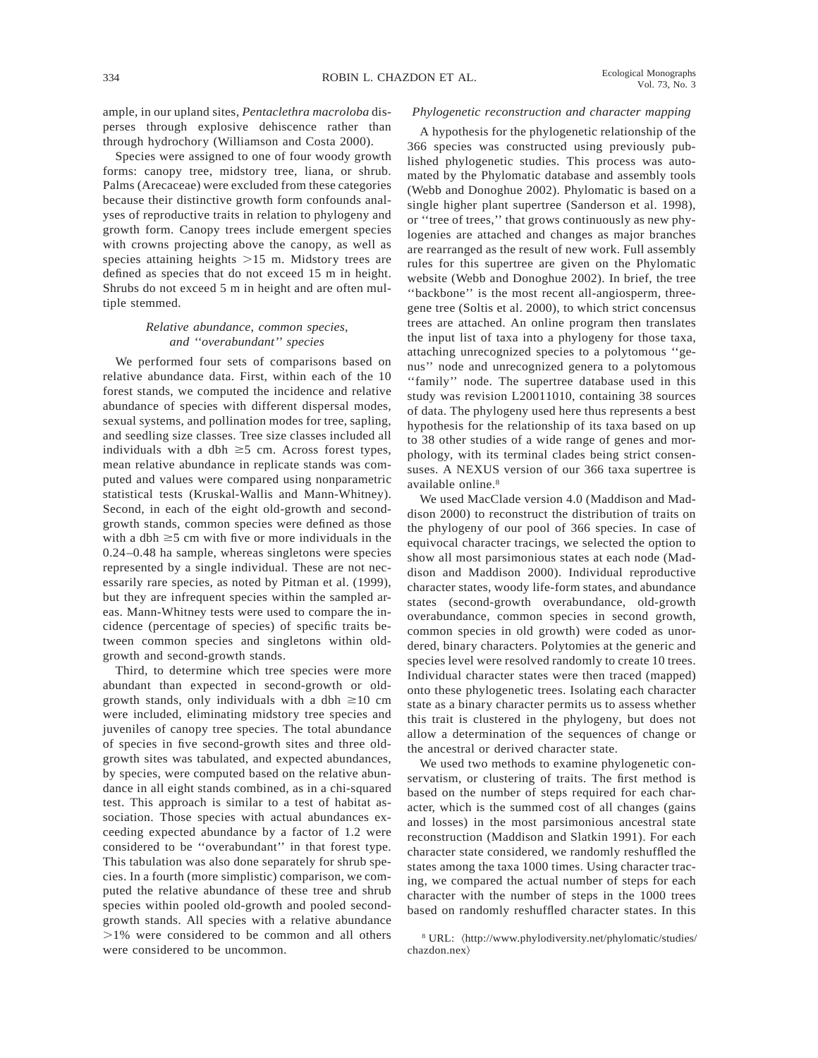ample, in our upland sites, *Pentaclethra macroloba* disperses through explosive dehiscence rather than through hydrochory (Williamson and Costa 2000).

Species were assigned to one of four woody growth forms: canopy tree, midstory tree, liana, or shrub. Palms (Arecaceae) were excluded from these categories because their distinctive growth form confounds analyses of reproductive traits in relation to phylogeny and growth form. Canopy trees include emergent species with crowns projecting above the canopy, as well as species attaining heights  $>15$  m. Midstory trees are defined as species that do not exceed 15 m in height. Shrubs do not exceed 5 m in height and are often multiple stemmed.

### *Relative abundance, common species, and ''overabundant'' species*

We performed four sets of comparisons based on relative abundance data. First, within each of the 10 forest stands, we computed the incidence and relative abundance of species with different dispersal modes, sexual systems, and pollination modes for tree, sapling, and seedling size classes. Tree size classes included all individuals with a dbh  $\geq$ 5 cm. Across forest types, mean relative abundance in replicate stands was computed and values were compared using nonparametric statistical tests (Kruskal-Wallis and Mann-Whitney). Second, in each of the eight old-growth and secondgrowth stands, common species were defined as those with a dbh  $\geq$ 5 cm with five or more individuals in the 0.24–0.48 ha sample, whereas singletons were species represented by a single individual. These are not necessarily rare species, as noted by Pitman et al. (1999), but they are infrequent species within the sampled areas. Mann-Whitney tests were used to compare the incidence (percentage of species) of specific traits between common species and singletons within oldgrowth and second-growth stands.

Third, to determine which tree species were more abundant than expected in second-growth or oldgrowth stands, only individuals with a dbh  $\geq 10$  cm were included, eliminating midstory tree species and juveniles of canopy tree species. The total abundance of species in five second-growth sites and three oldgrowth sites was tabulated, and expected abundances, by species, were computed based on the relative abundance in all eight stands combined, as in a chi-squared test. This approach is similar to a test of habitat association. Those species with actual abundances exceeding expected abundance by a factor of 1.2 were considered to be ''overabundant'' in that forest type. This tabulation was also done separately for shrub species. In a fourth (more simplistic) comparison, we computed the relative abundance of these tree and shrub species within pooled old-growth and pooled secondgrowth stands. All species with a relative abundance  $>1\%$  were considered to be common and all others were considered to be uncommon.

### *Phylogenetic reconstruction and character mapping*

A hypothesis for the phylogenetic relationship of the 366 species was constructed using previously published phylogenetic studies. This process was automated by the Phylomatic database and assembly tools (Webb and Donoghue 2002). Phylomatic is based on a single higher plant supertree (Sanderson et al. 1998), or ''tree of trees,'' that grows continuously as new phylogenies are attached and changes as major branches are rearranged as the result of new work. Full assembly rules for this supertree are given on the Phylomatic website (Webb and Donoghue 2002). In brief, the tree ''backbone'' is the most recent all-angiosperm, threegene tree (Soltis et al. 2000), to which strict concensus trees are attached. An online program then translates the input list of taxa into a phylogeny for those taxa, attaching unrecognized species to a polytomous ''genus'' node and unrecognized genera to a polytomous ''family'' node. The supertree database used in this study was revision L20011010, containing 38 sources of data. The phylogeny used here thus represents a best hypothesis for the relationship of its taxa based on up to 38 other studies of a wide range of genes and morphology, with its terminal clades being strict consensuses. A NEXUS version of our 366 taxa supertree is available online.8

We used MacClade version 4.0 (Maddison and Maddison 2000) to reconstruct the distribution of traits on the phylogeny of our pool of 366 species. In case of equivocal character tracings, we selected the option to show all most parsimonious states at each node (Maddison and Maddison 2000). Individual reproductive character states, woody life-form states, and abundance states (second-growth overabundance, old-growth overabundance, common species in second growth, common species in old growth) were coded as unordered, binary characters. Polytomies at the generic and species level were resolved randomly to create 10 trees. Individual character states were then traced (mapped) onto these phylogenetic trees. Isolating each character state as a binary character permits us to assess whether this trait is clustered in the phylogeny, but does not allow a determination of the sequences of change or the ancestral or derived character state.

We used two methods to examine phylogenetic conservatism, or clustering of traits. The first method is based on the number of steps required for each character, which is the summed cost of all changes (gains and losses) in the most parsimonious ancestral state reconstruction (Maddison and Slatkin 1991). For each character state considered, we randomly reshuffled the states among the taxa 1000 times. Using character tracing, we compared the actual number of steps for each character with the number of steps in the 1000 trees based on randomly reshuffled character states. In this

<sup>&</sup>lt;sup>8</sup> URL:  $\langle$ http://www.phylodiversity.net/phylomatic/studies/ chazdon.nex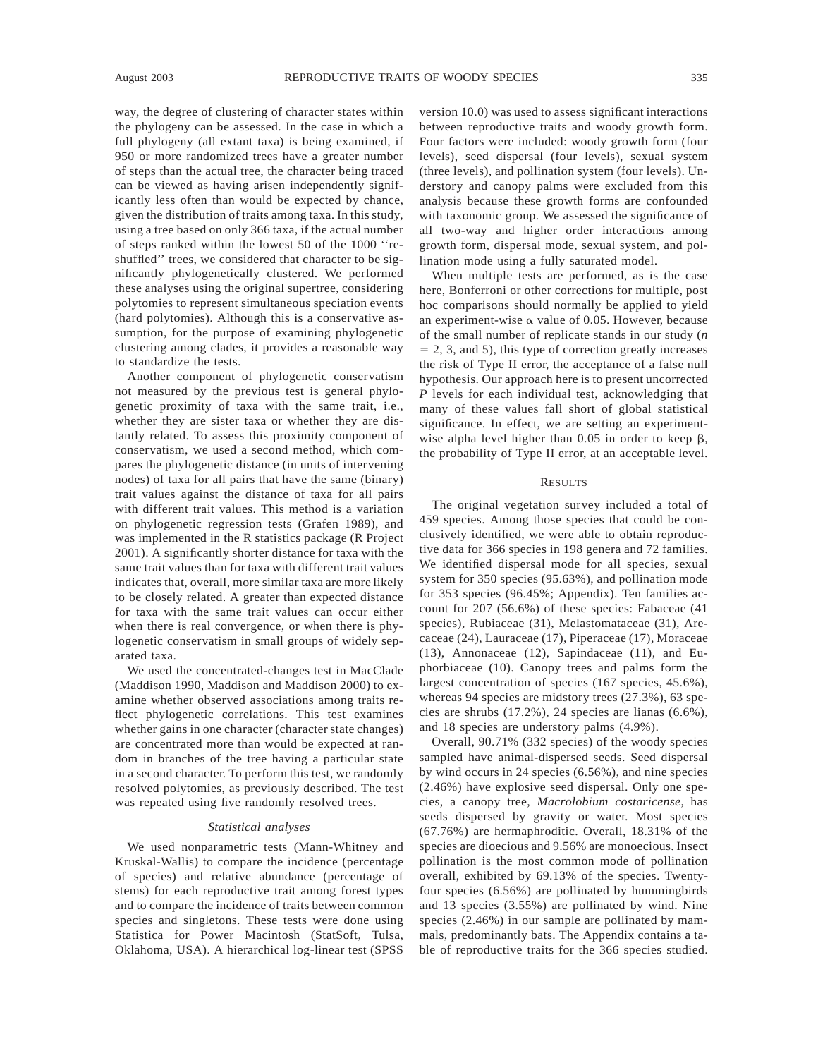way, the degree of clustering of character states within the phylogeny can be assessed. In the case in which a full phylogeny (all extant taxa) is being examined, if 950 or more randomized trees have a greater number of steps than the actual tree, the character being traced can be viewed as having arisen independently significantly less often than would be expected by chance, given the distribution of traits among taxa. In this study, using a tree based on only 366 taxa, if the actual number of steps ranked within the lowest 50 of the 1000 ''reshuffled'' trees, we considered that character to be significantly phylogenetically clustered. We performed these analyses using the original supertree, considering polytomies to represent simultaneous speciation events (hard polytomies). Although this is a conservative assumption, for the purpose of examining phylogenetic clustering among clades, it provides a reasonable way to standardize the tests.

Another component of phylogenetic conservatism not measured by the previous test is general phylogenetic proximity of taxa with the same trait, i.e., whether they are sister taxa or whether they are distantly related. To assess this proximity component of conservatism, we used a second method, which compares the phylogenetic distance (in units of intervening nodes) of taxa for all pairs that have the same (binary) trait values against the distance of taxa for all pairs with different trait values. This method is a variation on phylogenetic regression tests (Grafen 1989), and was implemented in the R statistics package (R Project 2001). A significantly shorter distance for taxa with the same trait values than for taxa with different trait values indicates that, overall, more similar taxa are more likely to be closely related. A greater than expected distance for taxa with the same trait values can occur either when there is real convergence, or when there is phylogenetic conservatism in small groups of widely separated taxa.

We used the concentrated-changes test in MacClade (Maddison 1990, Maddison and Maddison 2000) to examine whether observed associations among traits reflect phylogenetic correlations. This test examines whether gains in one character (character state changes) are concentrated more than would be expected at random in branches of the tree having a particular state in a second character. To perform this test, we randomly resolved polytomies, as previously described. The test was repeated using five randomly resolved trees.

#### *Statistical analyses*

We used nonparametric tests (Mann-Whitney and Kruskal-Wallis) to compare the incidence (percentage of species) and relative abundance (percentage of stems) for each reproductive trait among forest types and to compare the incidence of traits between common species and singletons. These tests were done using Statistica for Power Macintosh (StatSoft, Tulsa, Oklahoma, USA). A hierarchical log-linear test (SPSS

version 10.0) was used to assess significant interactions between reproductive traits and woody growth form. Four factors were included: woody growth form (four levels), seed dispersal (four levels), sexual system (three levels), and pollination system (four levels). Understory and canopy palms were excluded from this analysis because these growth forms are confounded with taxonomic group. We assessed the significance of all two-way and higher order interactions among growth form, dispersal mode, sexual system, and pollination mode using a fully saturated model.

When multiple tests are performed, as is the case here, Bonferroni or other corrections for multiple, post hoc comparisons should normally be applied to yield an experiment-wise  $\alpha$  value of 0.05. However, because of the small number of replicate stands in our study (*n*  $= 2, 3,$  and 5), this type of correction greatly increases the risk of Type II error, the acceptance of a false null hypothesis. Our approach here is to present uncorrected *P* levels for each individual test, acknowledging that many of these values fall short of global statistical significance. In effect, we are setting an experimentwise alpha level higher than  $0.05$  in order to keep  $\beta$ , the probability of Type II error, at an acceptable level.

### **RESULTS**

The original vegetation survey included a total of 459 species. Among those species that could be conclusively identified, we were able to obtain reproductive data for 366 species in 198 genera and 72 families. We identified dispersal mode for all species, sexual system for 350 species (95.63%), and pollination mode for 353 species (96.45%; Appendix). Ten families account for 207 (56.6%) of these species: Fabaceae (41 species), Rubiaceae (31), Melastomataceae (31), Arecaceae (24), Lauraceae (17), Piperaceae (17), Moraceae (13), Annonaceae (12), Sapindaceae (11), and Euphorbiaceae (10). Canopy trees and palms form the largest concentration of species (167 species, 45.6%), whereas 94 species are midstory trees (27.3%), 63 species are shrubs (17.2%), 24 species are lianas (6.6%), and 18 species are understory palms (4.9%).

Overall, 90.71% (332 species) of the woody species sampled have animal-dispersed seeds. Seed dispersal by wind occurs in 24 species (6.56%), and nine species (2.46%) have explosive seed dispersal. Only one species, a canopy tree, *Macrolobium costaricense*, has seeds dispersed by gravity or water. Most species (67.76%) are hermaphroditic. Overall, 18.31% of the species are dioecious and 9.56% are monoecious. Insect pollination is the most common mode of pollination overall, exhibited by 69.13% of the species. Twentyfour species (6.56%) are pollinated by hummingbirds and 13 species (3.55%) are pollinated by wind. Nine species (2.46%) in our sample are pollinated by mammals, predominantly bats. The Appendix contains a table of reproductive traits for the 366 species studied.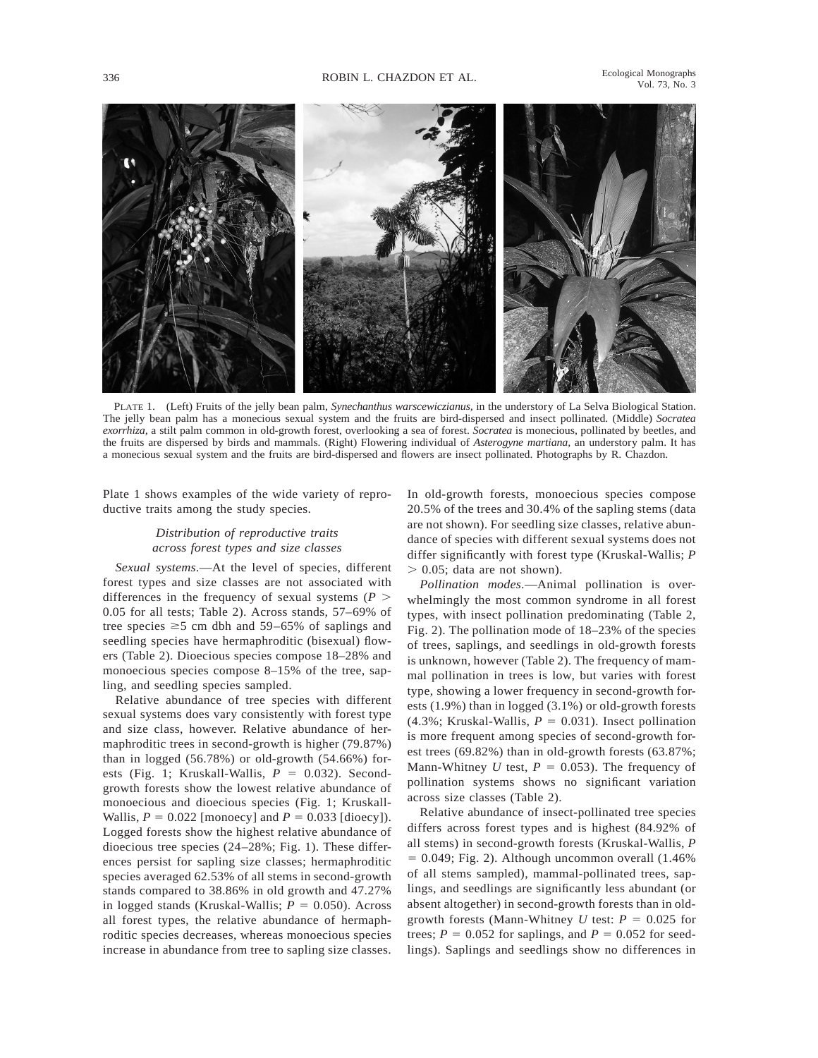

PLATE 1. (Left) Fruits of the jelly bean palm, *Synechanthus warscewiczianus,* in the understory of La Selva Biological Station. The jelly bean palm has a monecious sexual system and the fruits are bird-dispersed and insect pollinated. (Middle) *Socratea exorrhiza,* a stilt palm common in old-growth forest, overlooking a sea of forest. *Socratea* is monecious, pollinated by beetles, and the fruits are dispersed by birds and mammals. (Right) Flowering individual of *Asterogyne martiana,* an understory palm. It has a monecious sexual system and the fruits are bird-dispersed and flowers are insect pollinated. Photographs by R. Chazdon.

Plate 1 shows examples of the wide variety of reproductive traits among the study species.

# *Distribution of reproductive traits across forest types and size classes*

*Sexual systems*.—At the level of species, different forest types and size classes are not associated with differences in the frequency of sexual systems  $(P >$ 0.05 for all tests; Table 2). Across stands, 57–69% of tree species  $\geq$ 5 cm dbh and 59–65% of saplings and seedling species have hermaphroditic (bisexual) flowers (Table 2). Dioecious species compose 18–28% and monoecious species compose 8–15% of the tree, sapling, and seedling species sampled.

Relative abundance of tree species with different sexual systems does vary consistently with forest type and size class, however. Relative abundance of hermaphroditic trees in second-growth is higher (79.87%) than in logged  $(56.78%)$  or old-growth  $(54.66%)$  forests (Fig. 1; Kruskall-Wallis,  $P = 0.032$ ). Secondgrowth forests show the lowest relative abundance of monoecious and dioecious species (Fig. 1; Kruskall-Wallis,  $P = 0.022$  [monoecy] and  $P = 0.033$  [dioecy]). Logged forests show the highest relative abundance of dioecious tree species (24–28%; Fig. 1). These differences persist for sapling size classes; hermaphroditic species averaged 62.53% of all stems in second-growth stands compared to 38.86% in old growth and 47.27% in logged stands (Kruskal-Wallis;  $P = 0.050$ ). Across all forest types, the relative abundance of hermaphroditic species decreases, whereas monoecious species increase in abundance from tree to sapling size classes. In old-growth forests, monoecious species compose 20.5% of the trees and 30.4% of the sapling stems (data are not shown). For seedling size classes, relative abundance of species with different sexual systems does not differ significantly with forest type (Kruskal-Wallis; *P*  $> 0.05$ ; data are not shown).

*Pollination modes*.—Animal pollination is overwhelmingly the most common syndrome in all forest types, with insect pollination predominating (Table 2, Fig. 2). The pollination mode of 18–23% of the species of trees, saplings, and seedlings in old-growth forests is unknown, however (Table 2). The frequency of mammal pollination in trees is low, but varies with forest type, showing a lower frequency in second-growth forests (1.9%) than in logged (3.1%) or old-growth forests (4.3%; Kruskal-Wallis,  $P = 0.031$ ). Insect pollination is more frequent among species of second-growth forest trees (69.82%) than in old-growth forests (63.87%; Mann-Whitney *U* test,  $P = 0.053$ ). The frequency of pollination systems shows no significant variation across size classes (Table 2).

Relative abundance of insect-pollinated tree species differs across forest types and is highest (84.92% of all stems) in second-growth forests (Kruskal-Wallis, *P*  $= 0.049$ ; Fig. 2). Although uncommon overall (1.46%) of all stems sampled), mammal-pollinated trees, saplings, and seedlings are significantly less abundant (or absent altogether) in second-growth forests than in oldgrowth forests (Mann-Whitney  $U$  test:  $P = 0.025$  for trees;  $P = 0.052$  for saplings, and  $P = 0.052$  for seedlings). Saplings and seedlings show no differences in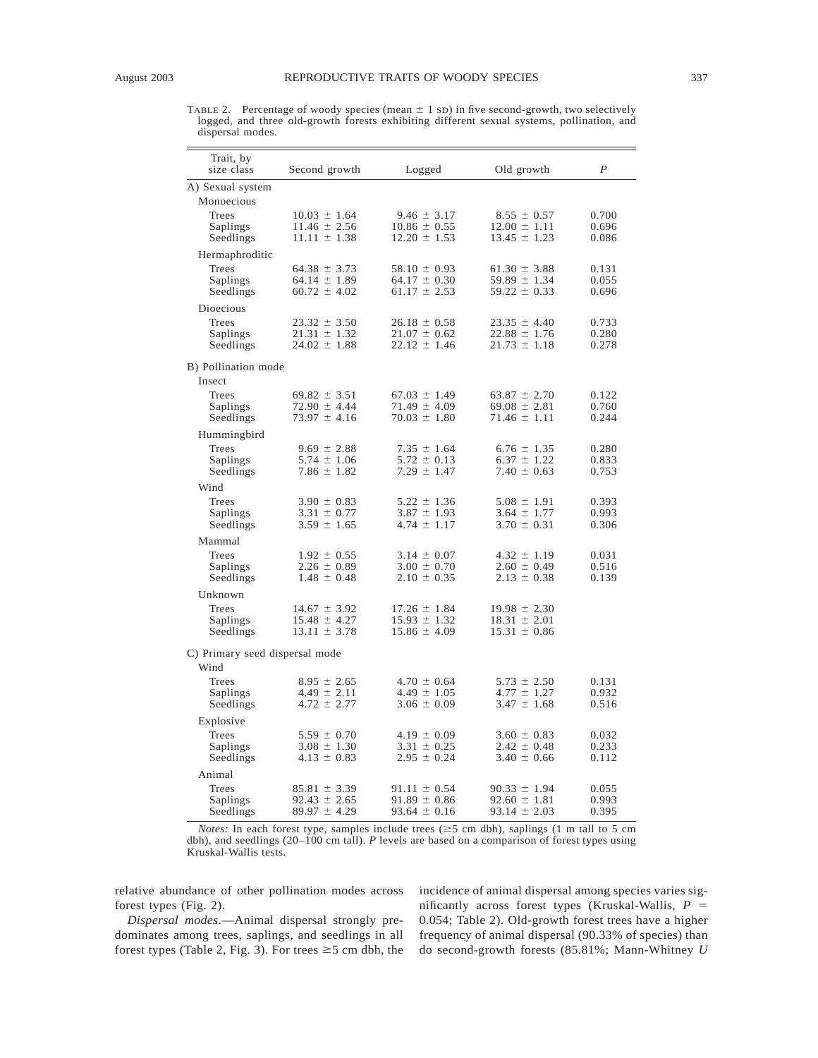TABLE 2. Percentage of woody species (mean  $\pm$  1 sD) in five second-growth, two selectively logged, and three old-growth forests exhibiting different sexual systems, pollination, and dispersal modes.

| Trait, by<br>size class        | Second growth                        | Logged                               | Old growth                           | $\boldsymbol{P}$ |  |  |  |  |  |
|--------------------------------|--------------------------------------|--------------------------------------|--------------------------------------|------------------|--|--|--|--|--|
| A) Sexual system               |                                      |                                      |                                      |                  |  |  |  |  |  |
| Monoecious                     |                                      |                                      |                                      |                  |  |  |  |  |  |
| Trees                          | $10.03 \pm 1.64$                     | $9.46 \pm 3.17$                      | $8.55 \pm 0.57$                      | 0.700            |  |  |  |  |  |
| Saplings                       | $11.46 \pm 2.56$                     | $10.86 \pm 0.55$                     | $12.00 \pm 1.11$                     | 0.696            |  |  |  |  |  |
| Seedlings                      | $11.11 \pm 1.38$                     | $12.20 \pm 1.53$                     | $13.45 \pm 1.23$                     | 0.086            |  |  |  |  |  |
| Hermaphroditic                 |                                      |                                      |                                      |                  |  |  |  |  |  |
| Trees                          | $64.38 \pm 3.73$                     | $58.10 \pm 0.93$                     | $61.30 \pm 3.88$                     | 0.131            |  |  |  |  |  |
| Saplings                       | $64.14 \pm 1.89$                     | $64.17 \pm 0.30$                     | $59.89 \pm 1.34$                     | 0.055            |  |  |  |  |  |
| Seedlings                      | $60.72 \pm 4.02$                     | $61.17 \pm 2.53$                     | $59.22 \pm 0.33$                     | 0.696            |  |  |  |  |  |
| Dioecious                      |                                      |                                      |                                      |                  |  |  |  |  |  |
| Trees                          | $23.32 \pm 3.50$                     | $26.18 \pm 0.58$                     | $23.35 \pm 4.40$                     | 0.733            |  |  |  |  |  |
| Saplings                       | $21.31 \pm 1.32$                     | $21.07 \pm 0.62$                     | $22.88 \pm 1.76$                     | 0.280            |  |  |  |  |  |
| Seedlings                      | $24.02 \pm 1.88$                     | $22.12 \pm 1.46$                     | $21.73 \pm 1.18$                     | 0.278            |  |  |  |  |  |
| B) Pollination mode            |                                      |                                      |                                      |                  |  |  |  |  |  |
| Insect                         |                                      |                                      |                                      |                  |  |  |  |  |  |
| Trees                          | $69.82 \pm 3.51$                     | $67.03 \pm 1.49$                     | $63.87 \pm 2.70$                     | 0.122            |  |  |  |  |  |
| Saplings                       | $72.90 \pm 4.44$                     | $71.49 \pm 4.09$                     | $69.08 \pm 2.81$                     | 0.760            |  |  |  |  |  |
| Seedlings                      | $73.97 \pm 4.16$                     | $70.03 \pm 1.80$                     | $71.46 \pm 1.11$                     | 0.244            |  |  |  |  |  |
| Hummingbird                    |                                      |                                      |                                      |                  |  |  |  |  |  |
| Trees                          | $9.69 \pm 2.88$                      | $7.35 \pm 1.64$                      | $6.76 \pm 1.35$                      | 0.280            |  |  |  |  |  |
| Saplings                       | $5.74 \pm 1.06$                      | $5.72 \pm 0.13$                      | $6.37 \pm 1.22$                      | 0.833            |  |  |  |  |  |
| Seedlings                      | $7.86 \pm 1.82$                      | $7.29 \pm 1.47$                      | $7.40 \pm 0.63$                      | 0.753            |  |  |  |  |  |
| Wind                           |                                      |                                      |                                      |                  |  |  |  |  |  |
| Trees                          | $3.90 \pm 0.83$                      | $5.22 \pm 1.36$                      | $5.08 \pm 1.91$                      | 0.393            |  |  |  |  |  |
| Saplings                       | $3.31 \pm 0.77$                      | $3.87 \pm 1.93$                      | $3.64 \pm 1.77$                      | 0.993            |  |  |  |  |  |
| Seedlings                      | $3.59 \pm 1.65$                      | $4.74 \pm 1.17$                      | $3.70 \pm 0.31$                      | 0.306            |  |  |  |  |  |
| Mammal                         |                                      |                                      |                                      |                  |  |  |  |  |  |
| Trees                          | $1.92 \pm 0.55$                      | $3.14 \pm 0.07$                      | $4.32 \pm 1.19$                      | 0.031            |  |  |  |  |  |
| Saplings<br>Seedlings          | $2.26 \pm 0.89$<br>$1.48 \pm 0.48$   | $3.00 \pm 0.70$<br>$2.10 \pm 0.35$   | $2.60 \pm 0.49$<br>$2.13 \pm 0.38$   | 0.516<br>0.139   |  |  |  |  |  |
|                                |                                      |                                      |                                      |                  |  |  |  |  |  |
| Unknown                        |                                      |                                      |                                      |                  |  |  |  |  |  |
| Trees<br>Saplings              | $14.67 \pm 3.92$<br>$15.48 \pm 4.27$ | $17.26 \pm 1.84$<br>$15.93 \pm 1.32$ | $19.98 \pm 2.30$<br>$18.31 \pm 2.01$ |                  |  |  |  |  |  |
| Seedlings                      | $13.11 \pm 3.78$                     | $15.86 \pm 4.09$                     | $15.31 \pm 0.86$                     |                  |  |  |  |  |  |
| C) Primary seed dispersal mode |                                      |                                      |                                      |                  |  |  |  |  |  |
| Wind                           |                                      |                                      |                                      |                  |  |  |  |  |  |
| Trees                          | $8.95 \pm 2.65$                      | $4.70 \pm 0.64$                      | $5.73 \pm 2.50$                      | 0.131            |  |  |  |  |  |
| Saplings                       | $4.49 \pm 2.11$                      | $4.49 \pm 1.05$                      | $4.77 \pm 1.27$                      | 0.932            |  |  |  |  |  |
| Seedlings                      | $4.72 \pm 2.77$                      | $3.06 \pm 0.09$                      | $3.47 \pm 1.68$                      | 0.516            |  |  |  |  |  |
| Explosive                      |                                      |                                      |                                      |                  |  |  |  |  |  |
| Trees                          | $5.59 \pm 0.70$                      | $4.19 \pm 0.09$                      | $3.60 \pm 0.83$                      | 0.032            |  |  |  |  |  |
| Saplings                       | $3.08 \pm 1.30$                      | $3.31 \pm 0.25$                      | $2.42 \pm 0.48$                      | 0.233            |  |  |  |  |  |
| Seedlings                      | $4.13 \pm 0.83$                      | $2.95 \pm 0.24$                      | $3.40 \pm 0.66$                      | 0.112            |  |  |  |  |  |
| Animal                         |                                      |                                      |                                      |                  |  |  |  |  |  |
| Trees                          | $85.81 \pm 3.39$                     | $91.11 \pm 0.54$                     | $90.33 \pm 1.94$                     | 0.055            |  |  |  |  |  |
| Saplings<br>Seedlings          | $92.43 \pm 2.65$<br>$89.97 \pm 4.29$ | $91.89 \pm 0.86$<br>$93.64 \pm 0.16$ | $92.60 \pm 1.81$<br>$93.14 \pm 2.03$ | 0.993<br>0.395   |  |  |  |  |  |
|                                |                                      |                                      |                                      |                  |  |  |  |  |  |

*Notes:* In each forest type, samples include trees ( $\geq$ 5 cm dbh), saplings (1 m tall to 5 cm dbh), and seedlings (20–100 cm tall). *P* levels are based on a comparison of forest types using Kruskal-Wallis tests.

relative abundance of other pollination modes across forest types (Fig. 2).

*Dispersal modes*.—Animal dispersal strongly predominates among trees, saplings, and seedlings in all forest types (Table 2, Fig. 3). For trees  $\geq$  5 cm dbh, the incidence of animal dispersal among species varies significantly across forest types (Kruskal-Wallis,  $P =$ 0.054; Table 2). Old-growth forest trees have a higher frequency of animal dispersal (90.33% of species) than do second-growth forests (85.81%; Mann-Whitney *U*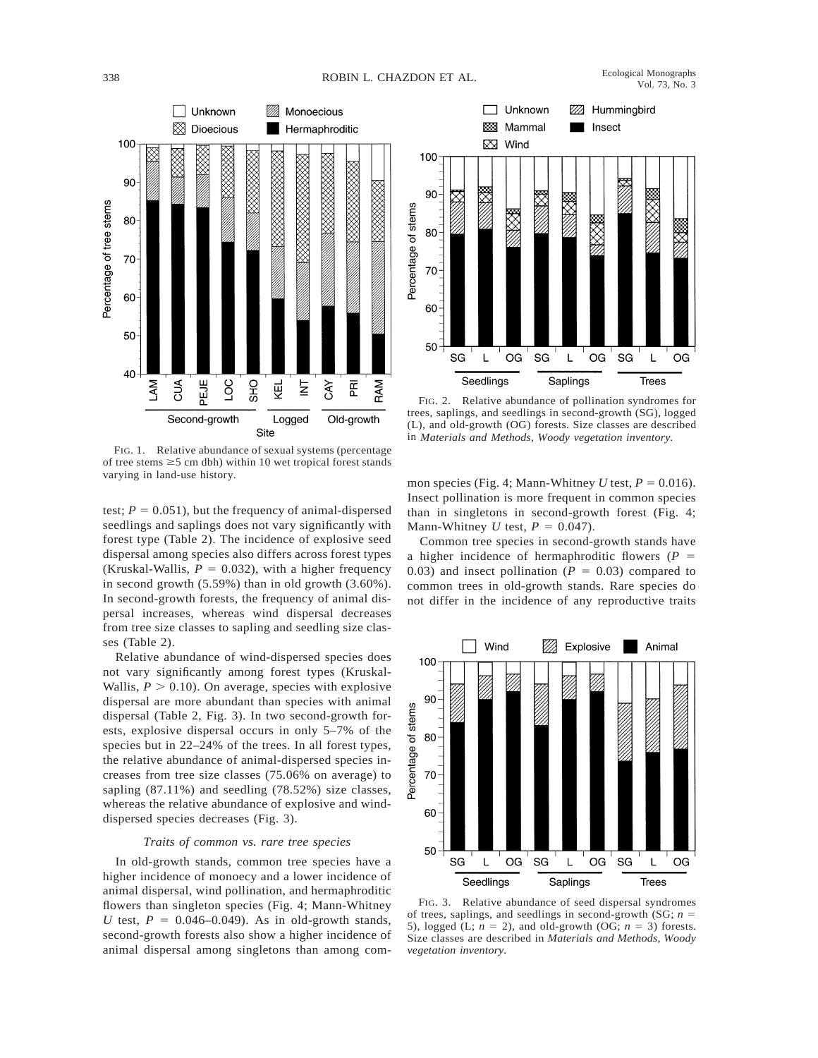

FIG. 1. Relative abundance of sexual systems (percentage of tree stems  $\geq$ 5 cm dbh) within 10 wet tropical forest stands varying in land-use history.

test;  $P = 0.051$ ), but the frequency of animal-dispersed seedlings and saplings does not vary significantly with forest type (Table 2). The incidence of explosive seed dispersal among species also differs across forest types (Kruskal-Wallis,  $P = 0.032$ ), with a higher frequency in second growth (5.59%) than in old growth (3.60%). In second-growth forests, the frequency of animal dispersal increases, whereas wind dispersal decreases from tree size classes to sapling and seedling size classes (Table 2).

Relative abundance of wind-dispersed species does not vary significantly among forest types (Kruskal-Wallis,  $P > 0.10$ ). On average, species with explosive dispersal are more abundant than species with animal dispersal (Table 2, Fig. 3). In two second-growth forests, explosive dispersal occurs in only 5–7% of the species but in 22–24% of the trees. In all forest types, the relative abundance of animal-dispersed species increases from tree size classes (75.06% on average) to sapling (87.11%) and seedling (78.52%) size classes, whereas the relative abundance of explosive and winddispersed species decreases (Fig. 3).

### *Traits of common vs. rare tree species*

In old-growth stands, common tree species have a higher incidence of monoecy and a lower incidence of animal dispersal, wind pollination, and hermaphroditic flowers than singleton species (Fig. 4; Mann-Whitney *U* test,  $P = 0.046{\text -}0.049$ . As in old-growth stands, second-growth forests also show a higher incidence of animal dispersal among singletons than among com-



FIG. 2. Relative abundance of pollination syndromes for trees, saplings, and seedlings in second-growth (SG), logged (L), and old-growth (OG) forests. Size classes are described in *Materials and Methods, Woody vegetation inventory.*

mon species (Fig. 4; Mann-Whitney *U* test,  $P = 0.016$ ). Insect pollination is more frequent in common species than in singletons in second-growth forest (Fig. 4; Mann-Whitney *U* test,  $P = 0.047$ .

Common tree species in second-growth stands have a higher incidence of hermaphroditic flowers ( $P =$ 0.03) and insect pollination ( $P = 0.03$ ) compared to common trees in old-growth stands. Rare species do not differ in the incidence of any reproductive traits



FIG. 3. Relative abundance of seed dispersal syndromes of trees, saplings, and seedlings in second-growth (SG;  $n =$ 5), logged (L;  $n = 2$ ), and old-growth (OG;  $n = 3$ ) forests. Size classes are described in *Materials and Methods, Woody vegetation inventory.*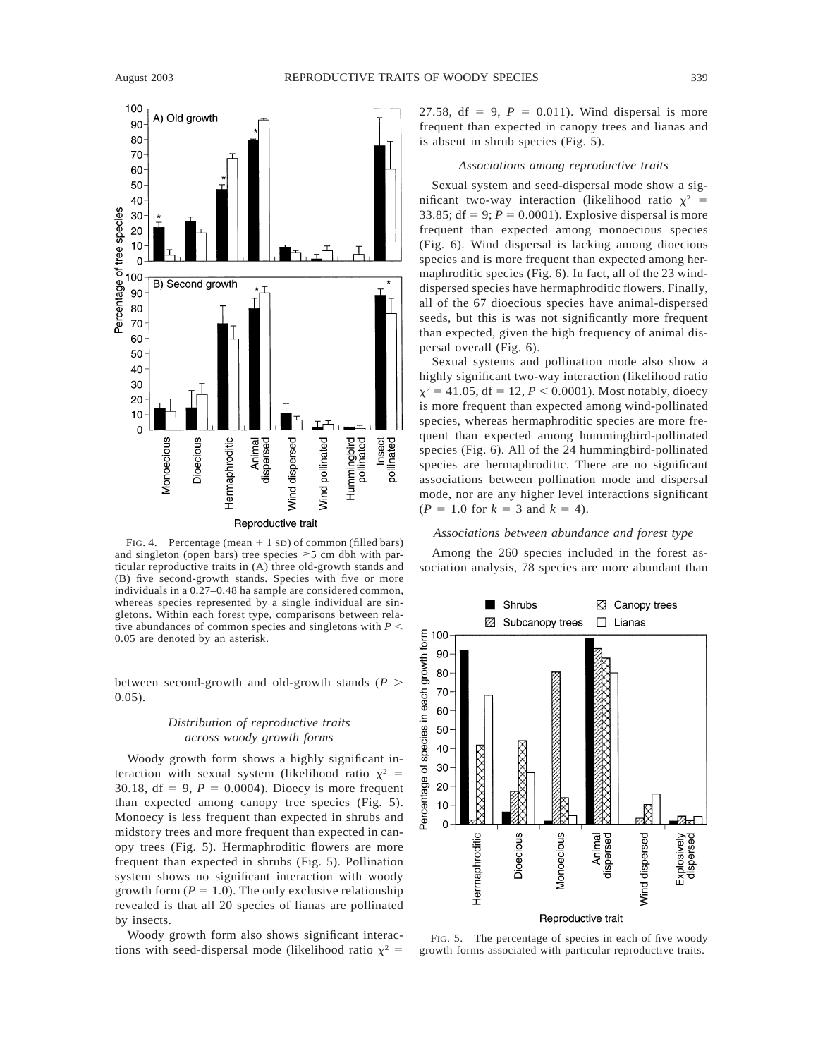

FIG. 4. Percentage (mean  $+1$  SD) of common (filled bars) and singleton (open bars) tree species  $\geq$  5 cm dbh with particular reproductive traits in (A) three old-growth stands and (B) five second-growth stands. Species with five or more individuals in a 0.27–0.48 ha sample are considered common, whereas species represented by a single individual are singletons. Within each forest type, comparisons between relative abundances of common species and singletons with  $P \leq$ 0.05 are denoted by an asterisk.

between second-growth and old-growth stands ( $P$ ) 0.05).

### *Distribution of reproductive traits across woody growth forms*

Woody growth form shows a highly significant interaction with sexual system (likelihood ratio  $\chi^2$  = 30.18,  $df = 9$ ,  $P = 0.0004$ ). Dioecy is more frequent than expected among canopy tree species (Fig. 5). Monoecy is less frequent than expected in shrubs and midstory trees and more frequent than expected in canopy trees (Fig. 5). Hermaphroditic flowers are more frequent than expected in shrubs (Fig. 5). Pollination system shows no significant interaction with woody growth form  $(P = 1.0)$ . The only exclusive relationship revealed is that all 20 species of lianas are pollinated by insects.

Woody growth form also shows significant interactions with seed-dispersal mode (likelihood ratio  $\chi^2$  = 27.58, df = 9,  $P = 0.011$ ). Wind dispersal is more frequent than expected in canopy trees and lianas and is absent in shrub species (Fig. 5).

#### *Associations among reproductive traits*

Sexual system and seed-dispersal mode show a significant two-way interaction (likelihood ratio  $x^2$  = 33.85;  $df = 9$ ;  $P = 0.0001$ ). Explosive dispersal is more frequent than expected among monoecious species (Fig. 6). Wind dispersal is lacking among dioecious species and is more frequent than expected among hermaphroditic species (Fig. 6). In fact, all of the 23 winddispersed species have hermaphroditic flowers. Finally, all of the 67 dioecious species have animal-dispersed seeds, but this is was not significantly more frequent than expected, given the high frequency of animal dispersal overall (Fig. 6).

Sexual systems and pollination mode also show a highly significant two-way interaction (likelihood ratio  $\chi^2$  = 41.05, df = 12, *P* < 0.0001). Most notably, dioecy is more frequent than expected among wind-pollinated species, whereas hermaphroditic species are more frequent than expected among hummingbird-pollinated species (Fig. 6). All of the 24 hummingbird-pollinated species are hermaphroditic. There are no significant associations between pollination mode and dispersal mode, nor are any higher level interactions significant  $(P = 1.0$  for  $k = 3$  and  $k = 4$ ).

### *Associations between abundance and forest type*

Among the 260 species included in the forest association analysis, 78 species are more abundant than



FIG. 5. The percentage of species in each of five woody growth forms associated with particular reproductive traits.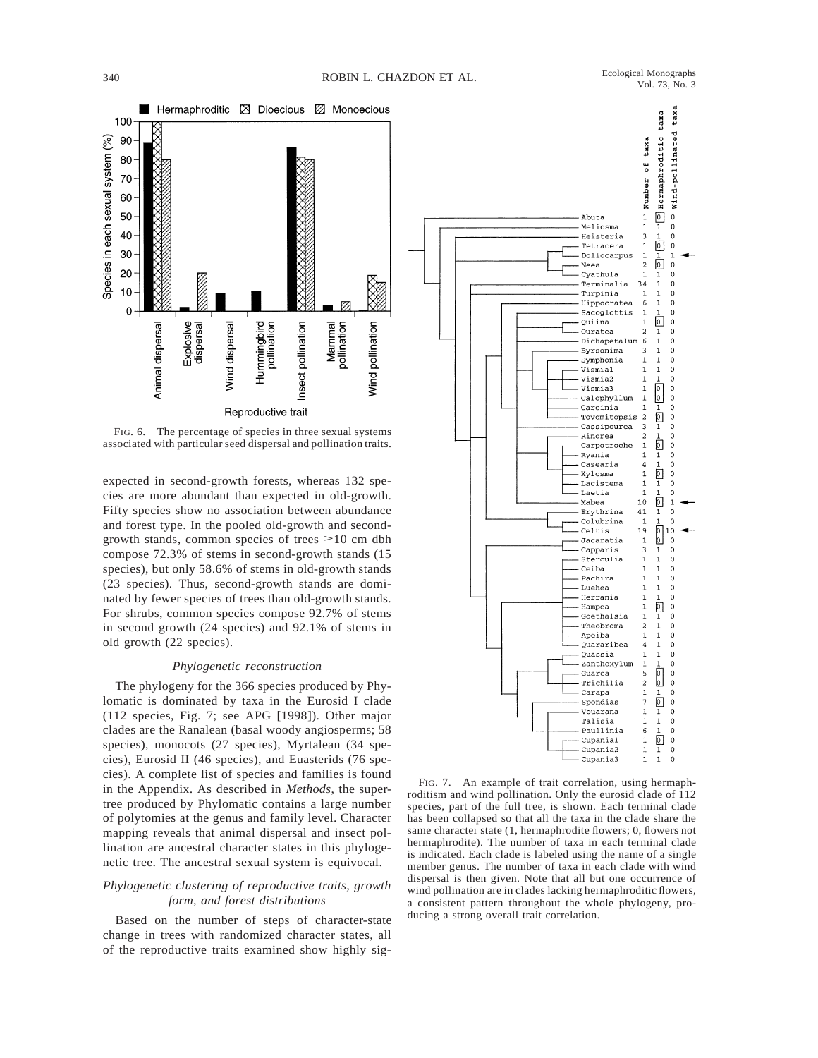

FIG. 6. The percentage of species in three sexual systems associated with particular seed dispersal and pollination traits.

expected in second-growth forests, whereas 132 species are more abundant than expected in old-growth. Fifty species show no association between abundance and forest type. In the pooled old-growth and secondgrowth stands, common species of trees  $\geq 10$  cm dbh compose 72.3% of stems in second-growth stands (15 species), but only 58.6% of stems in old-growth stands (23 species). Thus, second-growth stands are dominated by fewer species of trees than old-growth stands. For shrubs, common species compose 92.7% of stems in second growth (24 species) and 92.1% of stems in old growth (22 species).

### *Phylogenetic reconstruction*

The phylogeny for the 366 species produced by Phylomatic is dominated by taxa in the Eurosid I clade (112 species, Fig. 7; see APG [1998]). Other major clades are the Ranalean (basal woody angiosperms; 58 species), monocots (27 species), Myrtalean (34 species), Eurosid II (46 species), and Euasterids (76 species). A complete list of species and families is found in the Appendix. As described in *Methods*, the supertree produced by Phylomatic contains a large number of polytomies at the genus and family level. Character mapping reveals that animal dispersal and insect pollination are ancestral character states in this phylogenetic tree. The ancestral sexual system is equivocal.

## *Phylogenetic clustering of reproductive traits, growth form, and forest distributions*

Based on the number of steps of character-state change in trees with randomized character states, all of the reproductive traits examined show highly sig-



FIG. 7. An example of trait correlation, using hermaphroditism and wind pollination. Only the eurosid clade of 112 species, part of the full tree, is shown. Each terminal clade has been collapsed so that all the taxa in the clade share the same character state (1, hermaphrodite flowers; 0, flowers not hermaphrodite). The number of taxa in each terminal clade is indicated. Each clade is labeled using the name of a single member genus. The number of taxa in each clade with wind dispersal is then given. Note that all but one occurrence of wind pollination are in clades lacking hermaphroditic flowers, a consistent pattern throughout the whole phylogeny, producing a strong overall trait correlation.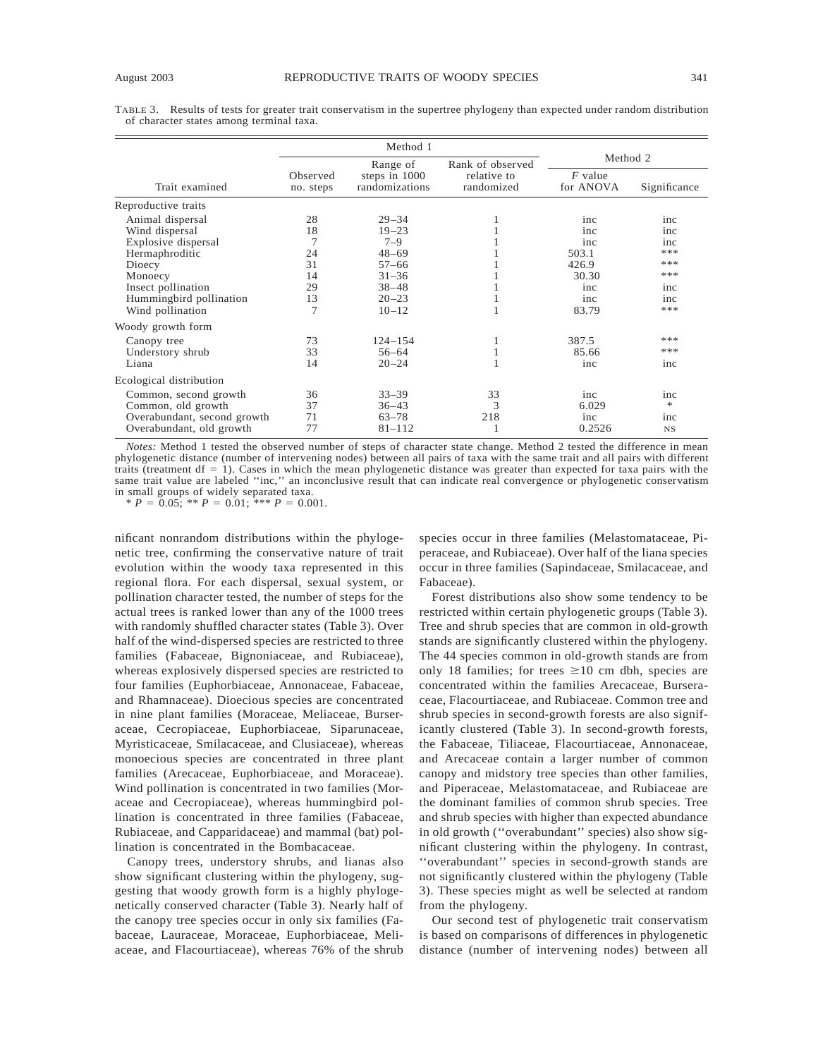TABLE 3. Results of tests for greater trait conservatism in the supertree phylogeny than expected under random distribution of character states among terminal taxa.

|                                                                                                                                                                       | Method 1                                                                   |                                                                                                                 |                           |                                                                     |                                                             |
|-----------------------------------------------------------------------------------------------------------------------------------------------------------------------|----------------------------------------------------------------------------|-----------------------------------------------------------------------------------------------------------------|---------------------------|---------------------------------------------------------------------|-------------------------------------------------------------|
|                                                                                                                                                                       |                                                                            | Range of                                                                                                        | Rank of observed          | Method 2                                                            |                                                             |
| Trait examined                                                                                                                                                        | Observed<br>no. steps                                                      | steps in 1000<br>randomizations                                                                                 | relative to<br>randomized | $F$ value<br>for ANOVA                                              | Significance                                                |
| Reproductive traits                                                                                                                                                   |                                                                            |                                                                                                                 |                           |                                                                     |                                                             |
| Animal dispersal<br>Wind dispersal<br>Explosive dispersal<br>Hermaphroditic<br>Dioecy<br>Monoecy<br>Insect pollination<br>Hummingbird pollination<br>Wind pollination | 28<br>18<br>$\overline{7}$<br>24<br>31<br>14<br>29<br>13<br>$\overline{7}$ | $29 - 34$<br>$19 - 23$<br>$7 - 9$<br>$48 - 69$<br>$57 - 66$<br>$31 - 36$<br>$38 - 48$<br>$20 - 23$<br>$10 - 12$ |                           | inc<br>inc<br>inc<br>503.1<br>426.9<br>30.30<br>inc<br>inc<br>83.79 | inc<br>inc<br>inc<br>***<br>***<br>***<br>inc<br>inc<br>*** |
| Woody growth form                                                                                                                                                     |                                                                            |                                                                                                                 |                           |                                                                     |                                                             |
| Canopy tree<br>Understory shrub<br>Liana                                                                                                                              | 73<br>33<br>14                                                             | $124 - 154$<br>$56 - 64$<br>$20 - 24$                                                                           |                           | 387.5<br>85.66<br>inc                                               | ***<br>***<br>inc                                           |
| Ecological distribution                                                                                                                                               |                                                                            |                                                                                                                 |                           |                                                                     |                                                             |
| Common, second growth<br>Common, old growth<br>Overabundant, second growth<br>Overabundant, old growth                                                                | 36<br>37<br>71<br>77                                                       | $33 - 39$<br>$36 - 43$<br>$63 - 78$<br>$81 - 112$                                                               | 33<br>3<br>218            | inc<br>6.029<br>inc<br>0.2526                                       | inc<br>*<br>inc<br><b>NS</b>                                |

*Notes:* Method 1 tested the observed number of steps of character state change. Method 2 tested the difference in mean phylogenetic distance (number of intervening nodes) between all pairs of taxa with the same trait and all pairs with different traits (treatment  $df = 1$ ). Cases in which the mean phylogenetic distance was greater than expected for taxa pairs with the same trait value are labeled ''inc,'' an inconclusive result that can indicate real convergence or phylogenetic conservatism in small groups of widely separated taxa.

 $* P = 0.05; * P = 0.01; * * P = 0.001.$ 

nificant nonrandom distributions within the phylogenetic tree, confirming the conservative nature of trait evolution within the woody taxa represented in this regional flora. For each dispersal, sexual system, or pollination character tested, the number of steps for the actual trees is ranked lower than any of the 1000 trees with randomly shuffled character states (Table 3). Over half of the wind-dispersed species are restricted to three families (Fabaceae, Bignoniaceae, and Rubiaceae), whereas explosively dispersed species are restricted to four families (Euphorbiaceae, Annonaceae, Fabaceae, and Rhamnaceae). Dioecious species are concentrated in nine plant families (Moraceae, Meliaceae, Burseraceae, Cecropiaceae, Euphorbiaceae, Siparunaceae, Myristicaceae, Smilacaceae, and Clusiaceae), whereas monoecious species are concentrated in three plant families (Arecaceae, Euphorbiaceae, and Moraceae). Wind pollination is concentrated in two families (Moraceae and Cecropiaceae), whereas hummingbird pollination is concentrated in three families (Fabaceae, Rubiaceae, and Capparidaceae) and mammal (bat) pollination is concentrated in the Bombacaceae.

Canopy trees, understory shrubs, and lianas also show significant clustering within the phylogeny, suggesting that woody growth form is a highly phylogenetically conserved character (Table 3). Nearly half of the canopy tree species occur in only six families (Fabaceae, Lauraceae, Moraceae, Euphorbiaceae, Meliaceae, and Flacourtiaceae), whereas 76% of the shrub

species occur in three families (Melastomataceae, Piperaceae, and Rubiaceae). Over half of the liana species occur in three families (Sapindaceae, Smilacaceae, and Fabaceae).

Forest distributions also show some tendency to be restricted within certain phylogenetic groups (Table 3). Tree and shrub species that are common in old-growth stands are significantly clustered within the phylogeny. The 44 species common in old-growth stands are from only 18 families; for trees  $\geq 10$  cm dbh, species are concentrated within the families Arecaceae, Burseraceae, Flacourtiaceae, and Rubiaceae. Common tree and shrub species in second-growth forests are also significantly clustered (Table 3). In second-growth forests, the Fabaceae, Tiliaceae, Flacourtiaceae, Annonaceae, and Arecaceae contain a larger number of common canopy and midstory tree species than other families, and Piperaceae, Melastomataceae, and Rubiaceae are the dominant families of common shrub species. Tree and shrub species with higher than expected abundance in old growth (''overabundant'' species) also show significant clustering within the phylogeny. In contrast, ''overabundant'' species in second-growth stands are not significantly clustered within the phylogeny (Table 3). These species might as well be selected at random from the phylogeny.

Our second test of phylogenetic trait conservatism is based on comparisons of differences in phylogenetic distance (number of intervening nodes) between all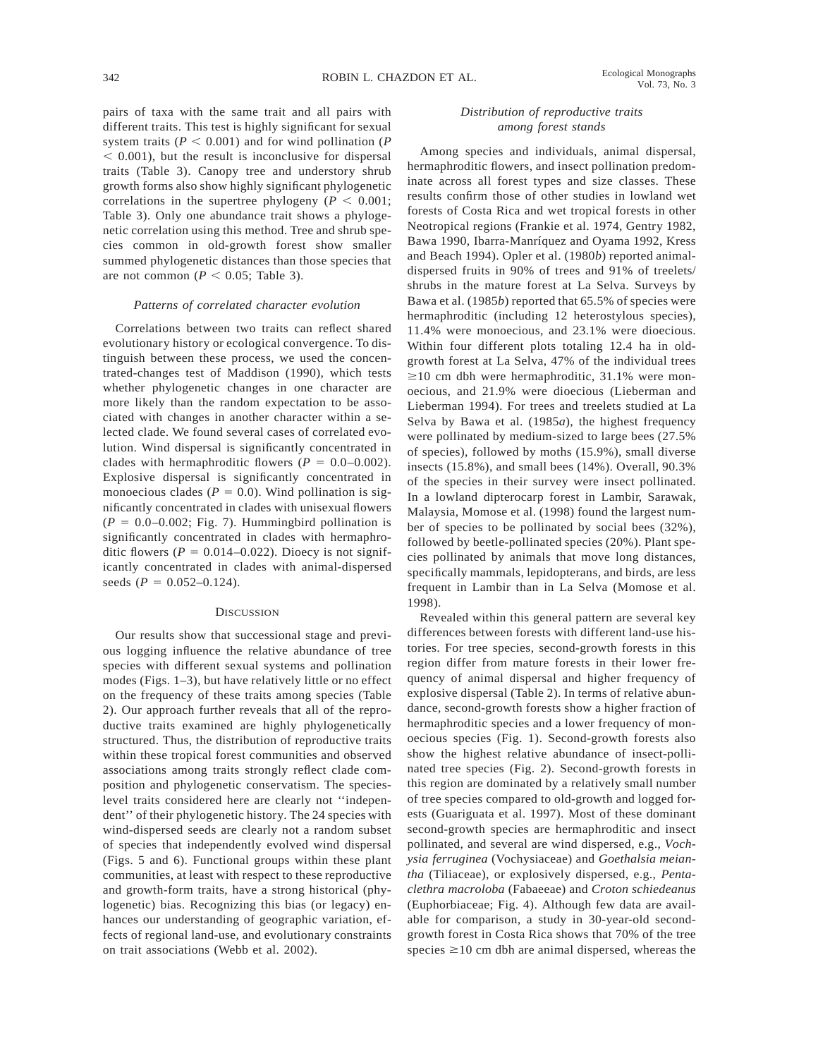pairs of taxa with the same trait and all pairs with different traits. This test is highly significant for sexual system traits ( $P < 0.001$ ) and for wind pollination ( $P$  $<$  0.001), but the result is inconclusive for dispersal traits (Table 3). Canopy tree and understory shrub growth forms also show highly significant phylogenetic correlations in the supertree phylogeny ( $P < 0.001$ ; Table 3). Only one abundance trait shows a phylogenetic correlation using this method. Tree and shrub species common in old-growth forest show smaller summed phylogenetic distances than those species that are not common ( $P < 0.05$ ; Table 3).

#### *Patterns of correlated character evolution*

Correlations between two traits can reflect shared evolutionary history or ecological convergence. To distinguish between these process, we used the concentrated-changes test of Maddison (1990), which tests whether phylogenetic changes in one character are more likely than the random expectation to be associated with changes in another character within a selected clade. We found several cases of correlated evolution. Wind dispersal is significantly concentrated in clades with hermaphroditic flowers  $(P = 0.0-0.002)$ . Explosive dispersal is significantly concentrated in monoecious clades ( $P = 0.0$ ). Wind pollination is significantly concentrated in clades with unisexual flowers  $(P = 0.0 - 0.002$ ; Fig. 7). Hummingbird pollination is significantly concentrated in clades with hermaphroditic flowers ( $P = 0.014 - 0.022$ ). Dioecy is not significantly concentrated in clades with animal-dispersed seeds  $(P = 0.052{\text -}0.124)$ .

#### **DISCUSSION**

Our results show that successional stage and previous logging influence the relative abundance of tree species with different sexual systems and pollination modes (Figs. 1–3), but have relatively little or no effect on the frequency of these traits among species (Table 2). Our approach further reveals that all of the reproductive traits examined are highly phylogenetically structured. Thus, the distribution of reproductive traits within these tropical forest communities and observed associations among traits strongly reflect clade composition and phylogenetic conservatism. The specieslevel traits considered here are clearly not ''independent'' of their phylogenetic history. The 24 species with wind-dispersed seeds are clearly not a random subset of species that independently evolved wind dispersal (Figs. 5 and 6). Functional groups within these plant communities, at least with respect to these reproductive and growth-form traits, have a strong historical (phylogenetic) bias. Recognizing this bias (or legacy) enhances our understanding of geographic variation, effects of regional land-use, and evolutionary constraints on trait associations (Webb et al. 2002).

### *Distribution of reproductive traits among forest stands*

Among species and individuals, animal dispersal, hermaphroditic flowers, and insect pollination predominate across all forest types and size classes. These results confirm those of other studies in lowland wet forests of Costa Rica and wet tropical forests in other Neotropical regions (Frankie et al. 1974, Gentry 1982, Bawa 1990, Ibarra-Manríquez and Oyama 1992, Kress and Beach 1994). Opler et al. (1980*b*) reported animaldispersed fruits in 90% of trees and 91% of treelets/ shrubs in the mature forest at La Selva. Surveys by Bawa et al. (1985*b*) reported that 65.5% of species were hermaphroditic (including 12 heterostylous species), 11.4% were monoecious, and 23.1% were dioecious. Within four different plots totaling 12.4 ha in oldgrowth forest at La Selva, 47% of the individual trees  $\geq$ 10 cm dbh were hermaphroditic, 31.1% were monoecious, and 21.9% were dioecious (Lieberman and Lieberman 1994). For trees and treelets studied at La Selva by Bawa et al. (1985*a*), the highest frequency were pollinated by medium-sized to large bees (27.5% of species), followed by moths (15.9%), small diverse insects (15.8%), and small bees (14%). Overall, 90.3% of the species in their survey were insect pollinated. In a lowland dipterocarp forest in Lambir, Sarawak, Malaysia, Momose et al. (1998) found the largest number of species to be pollinated by social bees (32%), followed by beetle-pollinated species (20%). Plant species pollinated by animals that move long distances, specifically mammals, lepidopterans, and birds, are less frequent in Lambir than in La Selva (Momose et al. 1998).

Revealed within this general pattern are several key differences between forests with different land-use histories. For tree species, second-growth forests in this region differ from mature forests in their lower frequency of animal dispersal and higher frequency of explosive dispersal (Table 2). In terms of relative abundance, second-growth forests show a higher fraction of hermaphroditic species and a lower frequency of monoecious species (Fig. 1). Second-growth forests also show the highest relative abundance of insect-pollinated tree species (Fig. 2). Second-growth forests in this region are dominated by a relatively small number of tree species compared to old-growth and logged forests (Guariguata et al. 1997). Most of these dominant second-growth species are hermaphroditic and insect pollinated, and several are wind dispersed, e.g., *Vochysia ferruginea* (Vochysiaceae) and *Goethalsia meiantha* (Tiliaceae), or explosively dispersed, e.g., *Pentaclethra macroloba* (Fabaeeae) and *Croton schiedeanus* (Euphorbiaceae; Fig. 4). Although few data are available for comparison, a study in 30-year-old secondgrowth forest in Costa Rica shows that 70% of the tree species  $\geq 10$  cm dbh are animal dispersed, whereas the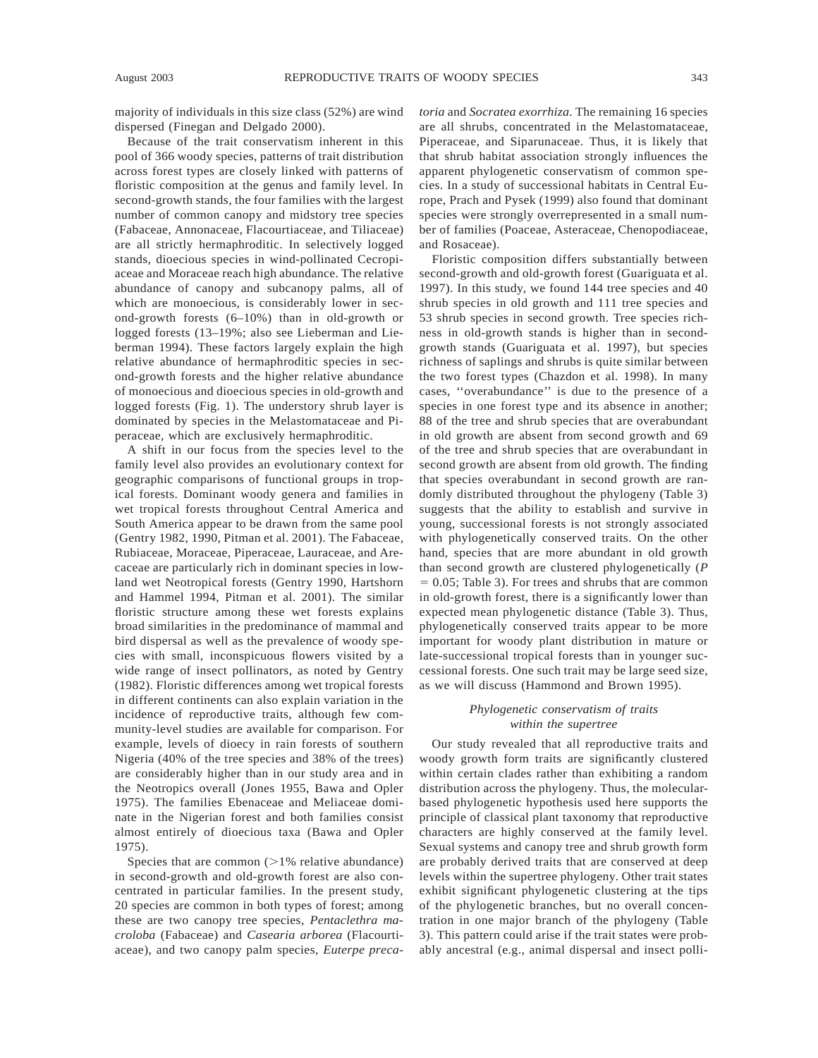majority of individuals in this size class (52%) are wind dispersed (Finegan and Delgado 2000).

Because of the trait conservatism inherent in this pool of 366 woody species, patterns of trait distribution across forest types are closely linked with patterns of floristic composition at the genus and family level. In second-growth stands, the four families with the largest number of common canopy and midstory tree species (Fabaceae, Annonaceae, Flacourtiaceae, and Tiliaceae) are all strictly hermaphroditic. In selectively logged stands, dioecious species in wind-pollinated Cecropiaceae and Moraceae reach high abundance. The relative abundance of canopy and subcanopy palms, all of which are monoecious, is considerably lower in second-growth forests (6–10%) than in old-growth or logged forests (13–19%; also see Lieberman and Lieberman 1994). These factors largely explain the high relative abundance of hermaphroditic species in second-growth forests and the higher relative abundance of monoecious and dioecious species in old-growth and logged forests (Fig. 1). The understory shrub layer is dominated by species in the Melastomataceae and Piperaceae, which are exclusively hermaphroditic.

A shift in our focus from the species level to the family level also provides an evolutionary context for geographic comparisons of functional groups in tropical forests. Dominant woody genera and families in wet tropical forests throughout Central America and South America appear to be drawn from the same pool (Gentry 1982, 1990, Pitman et al. 2001). The Fabaceae, Rubiaceae, Moraceae, Piperaceae, Lauraceae, and Arecaceae are particularly rich in dominant species in lowland wet Neotropical forests (Gentry 1990, Hartshorn and Hammel 1994, Pitman et al. 2001). The similar floristic structure among these wet forests explains broad similarities in the predominance of mammal and bird dispersal as well as the prevalence of woody species with small, inconspicuous flowers visited by a wide range of insect pollinators, as noted by Gentry (1982). Floristic differences among wet tropical forests in different continents can also explain variation in the incidence of reproductive traits, although few community-level studies are available for comparison. For example, levels of dioecy in rain forests of southern Nigeria (40% of the tree species and 38% of the trees) are considerably higher than in our study area and in the Neotropics overall (Jones 1955, Bawa and Opler 1975). The families Ebenaceae and Meliaceae dominate in the Nigerian forest and both families consist almost entirely of dioecious taxa (Bawa and Opler 1975).

Species that are common  $(>1\%$  relative abundance) in second-growth and old-growth forest are also concentrated in particular families. In the present study, 20 species are common in both types of forest; among these are two canopy tree species, *Pentaclethra macroloba* (Fabaceae) and *Casearia arborea* (Flacourtiaceae), and two canopy palm species, *Euterpe preca-* *toria* and *Socratea exorrhiza*. The remaining 16 species are all shrubs, concentrated in the Melastomataceae, Piperaceae, and Siparunaceae. Thus, it is likely that that shrub habitat association strongly influences the apparent phylogenetic conservatism of common species. In a study of successional habitats in Central Europe, Prach and Pysek (1999) also found that dominant species were strongly overrepresented in a small number of families (Poaceae, Asteraceae, Chenopodiaceae, and Rosaceae).

Floristic composition differs substantially between second-growth and old-growth forest (Guariguata et al. 1997). In this study, we found 144 tree species and 40 shrub species in old growth and 111 tree species and 53 shrub species in second growth. Tree species richness in old-growth stands is higher than in secondgrowth stands (Guariguata et al. 1997), but species richness of saplings and shrubs is quite similar between the two forest types (Chazdon et al. 1998). In many cases, ''overabundance'' is due to the presence of a species in one forest type and its absence in another; 88 of the tree and shrub species that are overabundant in old growth are absent from second growth and 69 of the tree and shrub species that are overabundant in second growth are absent from old growth. The finding that species overabundant in second growth are randomly distributed throughout the phylogeny (Table 3) suggests that the ability to establish and survive in young, successional forests is not strongly associated with phylogenetically conserved traits. On the other hand, species that are more abundant in old growth than second growth are clustered phylogenetically (*P*  $= 0.05$ ; Table 3). For trees and shrubs that are common in old-growth forest, there is a significantly lower than expected mean phylogenetic distance (Table 3). Thus, phylogenetically conserved traits appear to be more important for woody plant distribution in mature or late-successional tropical forests than in younger successional forests. One such trait may be large seed size, as we will discuss (Hammond and Brown 1995).

# *Phylogenetic conservatism of traits within the supertree*

Our study revealed that all reproductive traits and woody growth form traits are significantly clustered within certain clades rather than exhibiting a random distribution across the phylogeny. Thus, the molecularbased phylogenetic hypothesis used here supports the principle of classical plant taxonomy that reproductive characters are highly conserved at the family level. Sexual systems and canopy tree and shrub growth form are probably derived traits that are conserved at deep levels within the supertree phylogeny. Other trait states exhibit significant phylogenetic clustering at the tips of the phylogenetic branches, but no overall concentration in one major branch of the phylogeny (Table 3). This pattern could arise if the trait states were probably ancestral (e.g., animal dispersal and insect polli-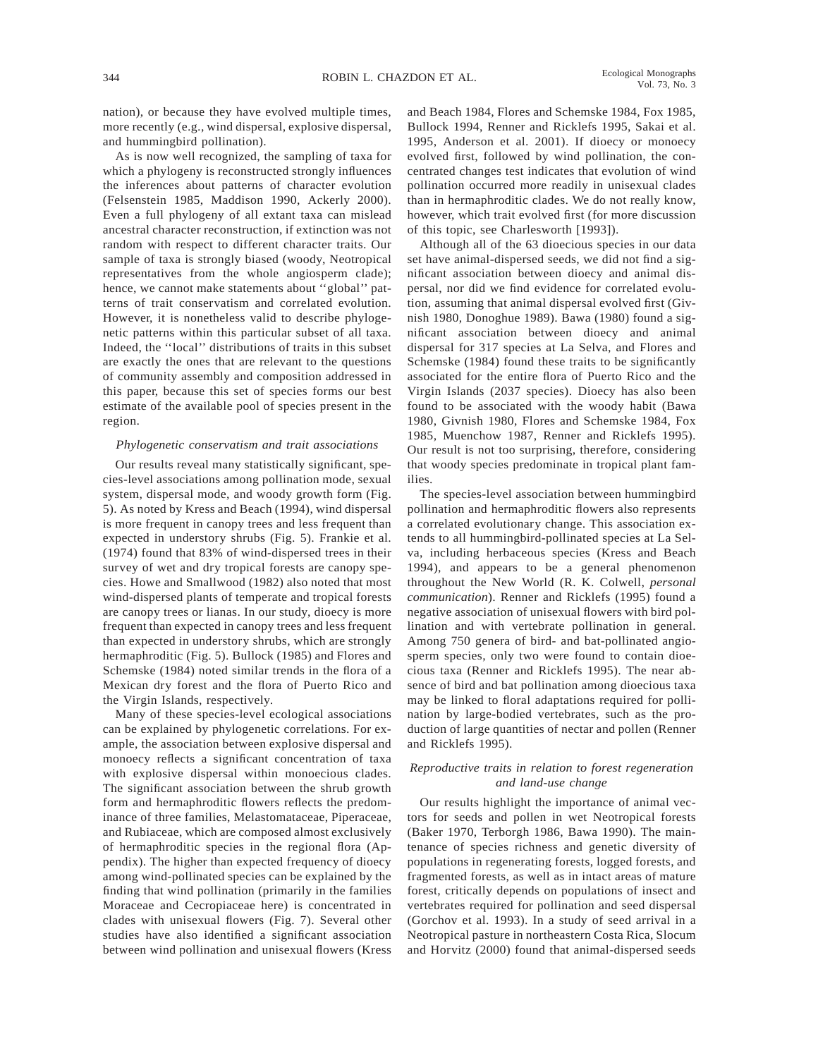nation), or because they have evolved multiple times, more recently (e.g., wind dispersal, explosive dispersal, and hummingbird pollination).

As is now well recognized, the sampling of taxa for which a phylogeny is reconstructed strongly influences the inferences about patterns of character evolution (Felsenstein 1985, Maddison 1990, Ackerly 2000). Even a full phylogeny of all extant taxa can mislead ancestral character reconstruction, if extinction was not random with respect to different character traits. Our sample of taxa is strongly biased (woody, Neotropical representatives from the whole angiosperm clade); hence, we cannot make statements about ''global'' patterns of trait conservatism and correlated evolution. However, it is nonetheless valid to describe phylogenetic patterns within this particular subset of all taxa. Indeed, the ''local'' distributions of traits in this subset are exactly the ones that are relevant to the questions of community assembly and composition addressed in this paper, because this set of species forms our best estimate of the available pool of species present in the region.

### *Phylogenetic conservatism and trait associations*

Our results reveal many statistically significant, species-level associations among pollination mode, sexual system, dispersal mode, and woody growth form (Fig. 5). As noted by Kress and Beach (1994), wind dispersal is more frequent in canopy trees and less frequent than expected in understory shrubs (Fig. 5). Frankie et al. (1974) found that 83% of wind-dispersed trees in their survey of wet and dry tropical forests are canopy species. Howe and Smallwood (1982) also noted that most wind-dispersed plants of temperate and tropical forests are canopy trees or lianas. In our study, dioecy is more frequent than expected in canopy trees and less frequent than expected in understory shrubs, which are strongly hermaphroditic (Fig. 5). Bullock (1985) and Flores and Schemske (1984) noted similar trends in the flora of a Mexican dry forest and the flora of Puerto Rico and the Virgin Islands, respectively.

Many of these species-level ecological associations can be explained by phylogenetic correlations. For example, the association between explosive dispersal and monoecy reflects a significant concentration of taxa with explosive dispersal within monoecious clades. The significant association between the shrub growth form and hermaphroditic flowers reflects the predominance of three families, Melastomataceae, Piperaceae, and Rubiaceae, which are composed almost exclusively of hermaphroditic species in the regional flora (Appendix). The higher than expected frequency of dioecy among wind-pollinated species can be explained by the finding that wind pollination (primarily in the families Moraceae and Cecropiaceae here) is concentrated in clades with unisexual flowers (Fig. 7). Several other studies have also identified a significant association between wind pollination and unisexual flowers (Kress and Beach 1984, Flores and Schemske 1984, Fox 1985, Bullock 1994, Renner and Ricklefs 1995, Sakai et al. 1995, Anderson et al. 2001). If dioecy or monoecy evolved first, followed by wind pollination, the concentrated changes test indicates that evolution of wind pollination occurred more readily in unisexual clades than in hermaphroditic clades. We do not really know, however, which trait evolved first (for more discussion of this topic, see Charlesworth [1993]).

Although all of the 63 dioecious species in our data set have animal-dispersed seeds, we did not find a significant association between dioecy and animal dispersal, nor did we find evidence for correlated evolution, assuming that animal dispersal evolved first (Givnish 1980, Donoghue 1989). Bawa (1980) found a significant association between dioecy and animal dispersal for 317 species at La Selva, and Flores and Schemske (1984) found these traits to be significantly associated for the entire flora of Puerto Rico and the Virgin Islands (2037 species). Dioecy has also been found to be associated with the woody habit (Bawa 1980, Givnish 1980, Flores and Schemske 1984, Fox 1985, Muenchow 1987, Renner and Ricklefs 1995). Our result is not too surprising, therefore, considering that woody species predominate in tropical plant families.

The species-level association between hummingbird pollination and hermaphroditic flowers also represents a correlated evolutionary change. This association extends to all hummingbird-pollinated species at La Selva, including herbaceous species (Kress and Beach 1994), and appears to be a general phenomenon throughout the New World (R. K. Colwell, *personal communication*). Renner and Ricklefs (1995) found a negative association of unisexual flowers with bird pollination and with vertebrate pollination in general. Among 750 genera of bird- and bat-pollinated angiosperm species, only two were found to contain dioecious taxa (Renner and Ricklefs 1995). The near absence of bird and bat pollination among dioecious taxa may be linked to floral adaptations required for pollination by large-bodied vertebrates, such as the production of large quantities of nectar and pollen (Renner and Ricklefs 1995).

### *Reproductive traits in relation to forest regeneration and land-use change*

Our results highlight the importance of animal vectors for seeds and pollen in wet Neotropical forests (Baker 1970, Terborgh 1986, Bawa 1990). The maintenance of species richness and genetic diversity of populations in regenerating forests, logged forests, and fragmented forests, as well as in intact areas of mature forest, critically depends on populations of insect and vertebrates required for pollination and seed dispersal (Gorchov et al. 1993). In a study of seed arrival in a Neotropical pasture in northeastern Costa Rica, Slocum and Horvitz (2000) found that animal-dispersed seeds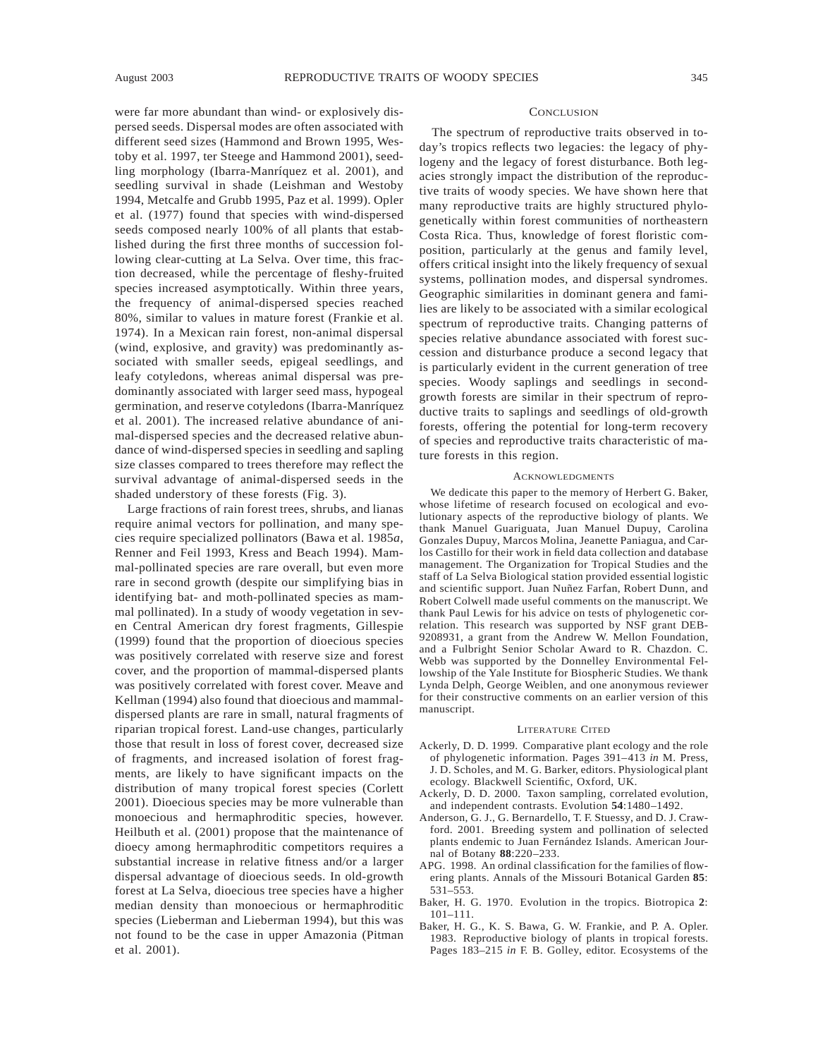were far more abundant than wind- or explosively dispersed seeds. Dispersal modes are often associated with different seed sizes (Hammond and Brown 1995, Westoby et al. 1997, ter Steege and Hammond 2001), seedling morphology (Ibarra-Manríquez et al. 2001), and seedling survival in shade (Leishman and Westoby 1994, Metcalfe and Grubb 1995, Paz et al. 1999). Opler et al. (1977) found that species with wind-dispersed seeds composed nearly 100% of all plants that established during the first three months of succession following clear-cutting at La Selva. Over time, this fraction decreased, while the percentage of fleshy-fruited species increased asymptotically. Within three years, the frequency of animal-dispersed species reached 80%, similar to values in mature forest (Frankie et al. 1974). In a Mexican rain forest, non-animal dispersal (wind, explosive, and gravity) was predominantly associated with smaller seeds, epigeal seedlings, and leafy cotyledons, whereas animal dispersal was predominantly associated with larger seed mass, hypogeal germination, and reserve cotyledons (Ibarra-Manríquez et al. 2001). The increased relative abundance of animal-dispersed species and the decreased relative abundance of wind-dispersed species in seedling and sapling size classes compared to trees therefore may reflect the survival advantage of animal-dispersed seeds in the shaded understory of these forests (Fig. 3).

Large fractions of rain forest trees, shrubs, and lianas require animal vectors for pollination, and many species require specialized pollinators (Bawa et al. 1985*a*, Renner and Feil 1993, Kress and Beach 1994). Mammal-pollinated species are rare overall, but even more rare in second growth (despite our simplifying bias in identifying bat- and moth-pollinated species as mammal pollinated). In a study of woody vegetation in seven Central American dry forest fragments, Gillespie (1999) found that the proportion of dioecious species was positively correlated with reserve size and forest cover, and the proportion of mammal-dispersed plants was positively correlated with forest cover. Meave and Kellman (1994) also found that dioecious and mammaldispersed plants are rare in small, natural fragments of riparian tropical forest. Land-use changes, particularly those that result in loss of forest cover, decreased size of fragments, and increased isolation of forest fragments, are likely to have significant impacts on the distribution of many tropical forest species (Corlett 2001). Dioecious species may be more vulnerable than monoecious and hermaphroditic species, however. Heilbuth et al. (2001) propose that the maintenance of dioecy among hermaphroditic competitors requires a substantial increase in relative fitness and/or a larger dispersal advantage of dioecious seeds. In old-growth forest at La Selva, dioecious tree species have a higher median density than monoecious or hermaphroditic species (Lieberman and Lieberman 1994), but this was not found to be the case in upper Amazonia (Pitman et al. 2001).

### **CONCLUSION**

The spectrum of reproductive traits observed in today's tropics reflects two legacies: the legacy of phylogeny and the legacy of forest disturbance. Both legacies strongly impact the distribution of the reproductive traits of woody species. We have shown here that many reproductive traits are highly structured phylogenetically within forest communities of northeastern Costa Rica. Thus, knowledge of forest floristic composition, particularly at the genus and family level, offers critical insight into the likely frequency of sexual systems, pollination modes, and dispersal syndromes. Geographic similarities in dominant genera and families are likely to be associated with a similar ecological spectrum of reproductive traits. Changing patterns of species relative abundance associated with forest succession and disturbance produce a second legacy that is particularly evident in the current generation of tree species. Woody saplings and seedlings in secondgrowth forests are similar in their spectrum of reproductive traits to saplings and seedlings of old-growth forests, offering the potential for long-term recovery of species and reproductive traits characteristic of mature forests in this region.

#### **ACKNOWLEDGMENTS**

We dedicate this paper to the memory of Herbert G. Baker, whose lifetime of research focused on ecological and evolutionary aspects of the reproductive biology of plants. We thank Manuel Guariguata, Juan Manuel Dupuy, Carolina Gonzales Dupuy, Marcos Molina, Jeanette Paniagua, and Carlos Castillo for their work in field data collection and database management. The Organization for Tropical Studies and the staff of La Selva Biological station provided essential logistic and scientific support. Juan Nuñez Farfan, Robert Dunn, and Robert Colwell made useful comments on the manuscript. We thank Paul Lewis for his advice on tests of phylogenetic correlation. This research was supported by NSF grant DEB-9208931, a grant from the Andrew W. Mellon Foundation, and a Fulbright Senior Scholar Award to R. Chazdon. C. Webb was supported by the Donnelley Environmental Fellowship of the Yale Institute for Biospheric Studies. We thank Lynda Delph, George Weiblen, and one anonymous reviewer for their constructive comments on an earlier version of this manuscript.

#### LITERATURE CITED

- Ackerly, D. D. 1999. Comparative plant ecology and the role of phylogenetic information. Pages 391–413 *in* M. Press, J. D. Scholes, and M. G. Barker, editors. Physiological plant ecology. Blackwell Scientific, Oxford, UK.
- Ackerly, D. D. 2000. Taxon sampling, correlated evolution, and independent contrasts. Evolution **54**:1480–1492.
- Anderson, G. J., G. Bernardello, T. F. Stuessy, and D. J. Crawford. 2001. Breeding system and pollination of selected plants endemic to Juan Fernández Islands. American Journal of Botany **88**:220–233.
- APG. 1998. An ordinal classification for the families of flowering plants. Annals of the Missouri Botanical Garden **85**: 531–553.
- Baker, H. G. 1970. Evolution in the tropics. Biotropica **2**: 101–111.
- Baker, H. G., K. S. Bawa, G. W. Frankie, and P. A. Opler. 1983. Reproductive biology of plants in tropical forests. Pages 183–215 *in* F. B. Golley, editor. Ecosystems of the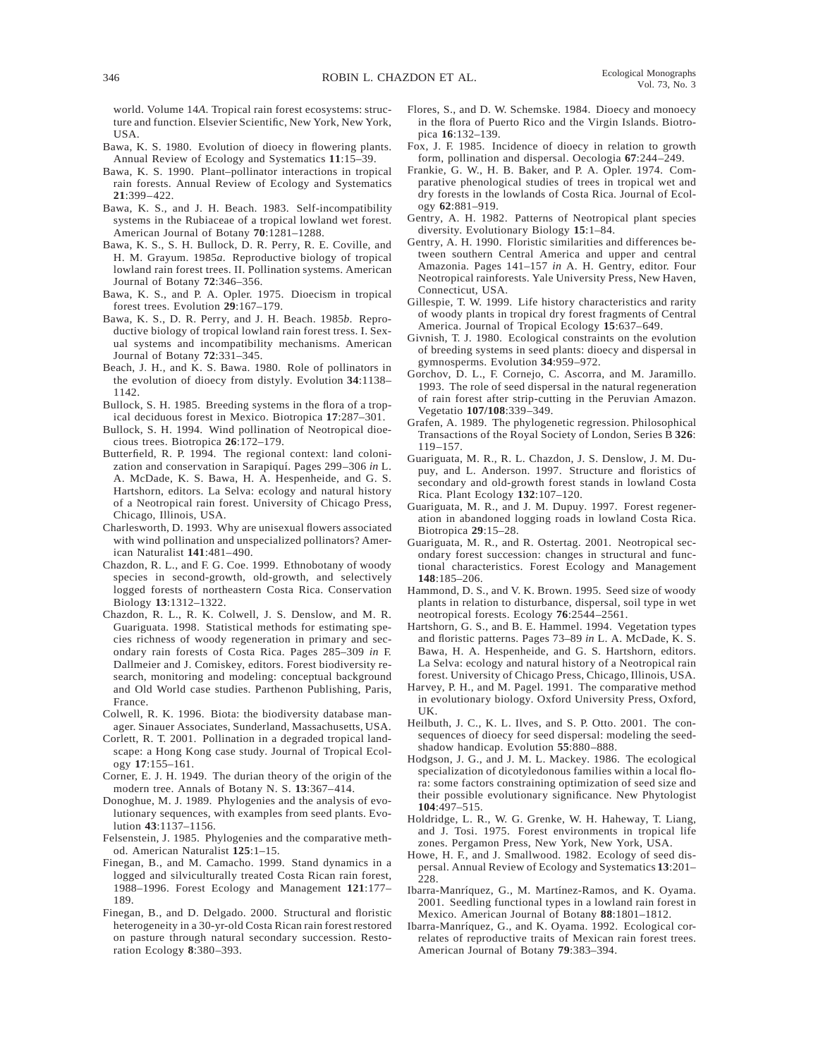world. Volume 14*A*. Tropical rain forest ecosystems: structure and function. Elsevier Scientific, New York, New York, USA.

- Bawa, K. S. 1980. Evolution of dioecy in flowering plants. Annual Review of Ecology and Systematics **11**:15–39.
- Bawa, K. S. 1990. Plant–pollinator interactions in tropical rain forests. Annual Review of Ecology and Systematics **21**:399–422.
- Bawa, K. S., and J. H. Beach. 1983. Self-incompatibility systems in the Rubiaceae of a tropical lowland wet forest. American Journal of Botany **70**:1281–1288.
- Bawa, K. S., S. H. Bullock, D. R. Perry, R. E. Coville, and H. M. Grayum. 1985*a*. Reproductive biology of tropical lowland rain forest trees. II. Pollination systems. American Journal of Botany **72**:346–356.
- Bawa, K. S., and P. A. Opler. 1975. Dioecism in tropical forest trees. Evolution **29**:167–179.
- Bawa, K. S., D. R. Perry, and J. H. Beach. 1985*b*. Reproductive biology of tropical lowland rain forest tress. I. Sexual systems and incompatibility mechanisms. American Journal of Botany **72**:331–345.
- Beach, J. H., and K. S. Bawa. 1980. Role of pollinators in the evolution of dioecy from distyly. Evolution **34**:1138– 1142.
- Bullock, S. H. 1985. Breeding systems in the flora of a tropical deciduous forest in Mexico. Biotropica **17**:287–301.
- Bullock, S. H. 1994. Wind pollination of Neotropical dioecious trees. Biotropica **26**:172–179.
- Butterfield, R. P. 1994. The regional context: land colonization and conservation in Sarapiquı´. Pages 299–306 *in* L. A. McDade, K. S. Bawa, H. A. Hespenheide, and G. S. Hartshorn, editors. La Selva: ecology and natural history of a Neotropical rain forest. University of Chicago Press, Chicago, Illinois, USA.
- Charlesworth, D. 1993. Why are unisexual flowers associated with wind pollination and unspecialized pollinators? American Naturalist **141**:481–490.
- Chazdon, R. L., and F. G. Coe. 1999. Ethnobotany of woody species in second-growth, old-growth, and selectively logged forests of northeastern Costa Rica. Conservation Biology **13**:1312–1322.
- Chazdon, R. L., R. K. Colwell, J. S. Denslow, and M. R. Guariguata. 1998. Statistical methods for estimating species richness of woody regeneration in primary and secondary rain forests of Costa Rica. Pages 285–309 *in* F. Dallmeier and J. Comiskey, editors. Forest biodiversity research, monitoring and modeling: conceptual background and Old World case studies. Parthenon Publishing, Paris, France.
- Colwell, R. K. 1996. Biota: the biodiversity database manager. Sinauer Associates, Sunderland, Massachusetts, USA.
- Corlett, R. T. 2001. Pollination in a degraded tropical landscape: a Hong Kong case study. Journal of Tropical Ecology **17**:155–161.
- Corner, E. J. H. 1949. The durian theory of the origin of the modern tree. Annals of Botany N. S. **13**:367–414.
- Donoghue, M. J. 1989. Phylogenies and the analysis of evolutionary sequences, with examples from seed plants. Evolution **43**:1137–1156.
- Felsenstein, J. 1985. Phylogenies and the comparative method. American Naturalist **125**:1–15.
- Finegan, B., and M. Camacho. 1999. Stand dynamics in a logged and silviculturally treated Costa Rican rain forest, 1988–1996. Forest Ecology and Management **121**:177– 189.
- Finegan, B., and D. Delgado. 2000. Structural and floristic heterogeneity in a 30-yr-old Costa Rican rain forest restored on pasture through natural secondary succession. Restoration Ecology **8**:380–393.
- Flores, S., and D. W. Schemske. 1984. Dioecy and monoecy in the flora of Puerto Rico and the Virgin Islands. Biotropica **16**:132–139.
- Fox, J. F. 1985. Incidence of dioecy in relation to growth form, pollination and dispersal. Oecologia **67**:244–249.
- Frankie, G. W., H. B. Baker, and P. A. Opler. 1974. Comparative phenological studies of trees in tropical wet and dry forests in the lowlands of Costa Rica. Journal of Ecology **62**:881–919.
- Gentry, A. H. 1982. Patterns of Neotropical plant species diversity. Evolutionary Biology **15**:1–84.
- Gentry, A. H. 1990. Floristic similarities and differences between southern Central America and upper and central Amazonia. Pages 141–157 *in* A. H. Gentry, editor. Four Neotropical rainforests. Yale University Press, New Haven, Connecticut, USA.
- Gillespie, T. W. 1999. Life history characteristics and rarity of woody plants in tropical dry forest fragments of Central America. Journal of Tropical Ecology **15**:637–649.
- Givnish, T. J. 1980. Ecological constraints on the evolution of breeding systems in seed plants: dioecy and dispersal in gymnosperms. Evolution **34**:959–972.
- Gorchov, D. L., F. Cornejo, C. Ascorra, and M. Jaramillo. 1993. The role of seed dispersal in the natural regeneration of rain forest after strip-cutting in the Peruvian Amazon. Vegetatio **107/108**:339–349.
- Grafen, A. 1989. The phylogenetic regression. Philosophical Transactions of the Royal Society of London, Series B **326**: 119–157.
- Guariguata, M. R., R. L. Chazdon, J. S. Denslow, J. M. Dupuy, and L. Anderson. 1997. Structure and floristics of secondary and old-growth forest stands in lowland Costa Rica. Plant Ecology **132**:107–120.
- Guariguata, M. R., and J. M. Dupuy. 1997. Forest regeneration in abandoned logging roads in lowland Costa Rica. Biotropica **29**:15–28.
- Guariguata, M. R., and R. Ostertag. 2001. Neotropical secondary forest succession: changes in structural and functional characteristics. Forest Ecology and Management **148**:185–206.
- Hammond, D. S., and V. K. Brown. 1995. Seed size of woody plants in relation to disturbance, dispersal, soil type in wet neotropical forests. Ecology **76**:2544–2561.
- Hartshorn, G. S., and B. E. Hammel. 1994. Vegetation types and floristic patterns. Pages 73–89 *in* L. A. McDade, K. S. Bawa, H. A. Hespenheide, and G. S. Hartshorn, editors. La Selva: ecology and natural history of a Neotropical rain forest. University of Chicago Press, Chicago, Illinois, USA.
- Harvey, P. H., and M. Pagel. 1991. The comparative method in evolutionary biology. Oxford University Press, Oxford, UK.
- Heilbuth, J. C., K. L. Ilves, and S. P. Otto. 2001. The consequences of dioecy for seed dispersal: modeling the seedshadow handicap. Evolution **55**:880–888.
- Hodgson, J. G., and J. M. L. Mackey. 1986. The ecological specialization of dicotyledonous families within a local flora: some factors constraining optimization of seed size and their possible evolutionary significance. New Phytologist **104**:497–515.
- Holdridge, L. R., W. G. Grenke, W. H. Haheway, T. Liang, and J. Tosi. 1975. Forest environments in tropical life zones. Pergamon Press, New York, New York, USA.
- Howe, H. F., and J. Smallwood. 1982. Ecology of seed dispersal. Annual Review of Ecology and Systematics **13**:201– 228.
- Ibarra-Manríquez, G., M. Martínez-Ramos, and K. Oyama. 2001. Seedling functional types in a lowland rain forest in Mexico. American Journal of Botany **88**:1801–1812.
- Ibarra-Manríquez, G., and K. Oyama. 1992. Ecological correlates of reproductive traits of Mexican rain forest trees. American Journal of Botany **79**:383–394.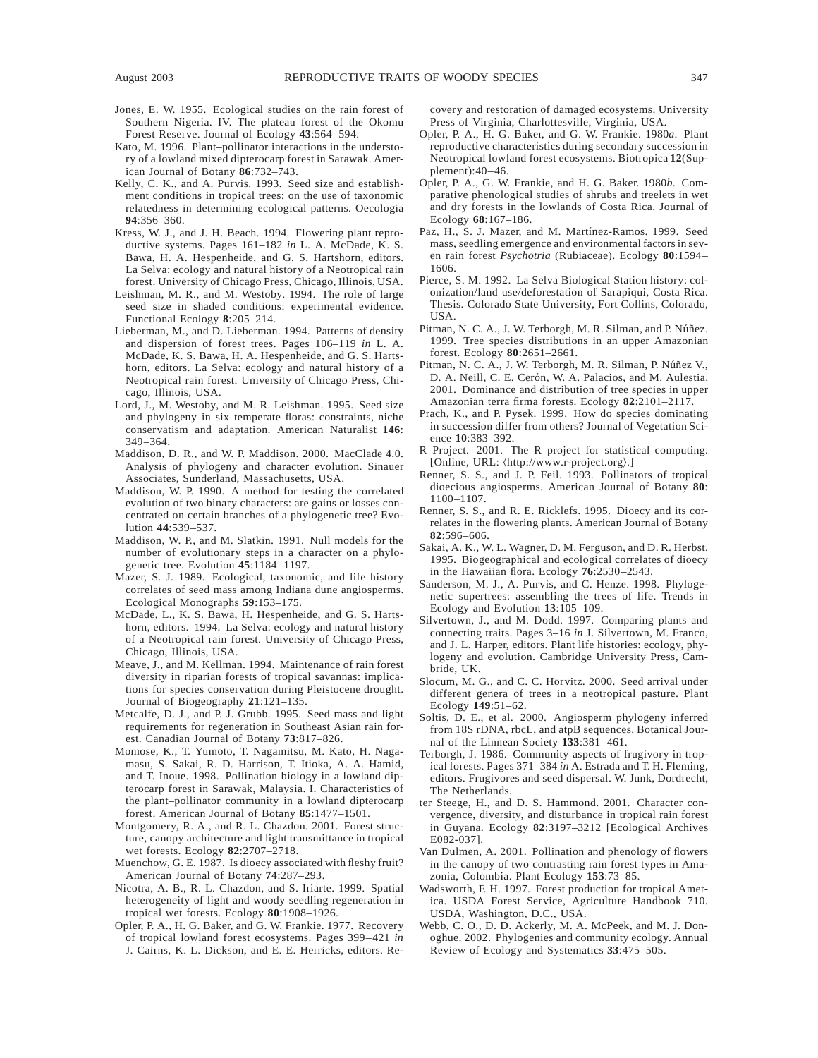- Jones, E. W. 1955. Ecological studies on the rain forest of Southern Nigeria. IV. The plateau forest of the Okomu Forest Reserve. Journal of Ecology **43**:564–594.
- Kato, M. 1996. Plant–pollinator interactions in the understory of a lowland mixed dipterocarp forest in Sarawak. American Journal of Botany **86**:732–743.
- Kelly, C. K., and A. Purvis. 1993. Seed size and establishment conditions in tropical trees: on the use of taxonomic relatedness in determining ecological patterns. Oecologia **94**:356–360.
- Kress, W. J., and J. H. Beach. 1994. Flowering plant reproductive systems. Pages 161–182 *in* L. A. McDade, K. S. Bawa, H. A. Hespenheide, and G. S. Hartshorn, editors. La Selva: ecology and natural history of a Neotropical rain forest. University of Chicago Press, Chicago, Illinois, USA.
- Leishman, M. R., and M. Westoby. 1994. The role of large seed size in shaded conditions: experimental evidence. Functional Ecology **8**:205–214.
- Lieberman, M., and D. Lieberman. 1994. Patterns of density and dispersion of forest trees. Pages 106–119 *in* L. A. McDade, K. S. Bawa, H. A. Hespenheide, and G. S. Hartshorn, editors. La Selva: ecology and natural history of a Neotropical rain forest. University of Chicago Press, Chicago, Illinois, USA.
- Lord, J., M. Westoby, and M. R. Leishman. 1995. Seed size and phylogeny in six temperate floras: constraints, niche conservatism and adaptation. American Naturalist **146**: 349–364.
- Maddison, D. R., and W. P. Maddison. 2000. MacClade 4.0. Analysis of phylogeny and character evolution. Sinauer Associates, Sunderland, Massachusetts, USA.
- Maddison, W. P. 1990. A method for testing the correlated evolution of two binary characters: are gains or losses concentrated on certain branches of a phylogenetic tree? Evolution **44**:539–537.
- Maddison, W. P., and M. Slatkin. 1991. Null models for the number of evolutionary steps in a character on a phylogenetic tree. Evolution **45**:1184–1197.
- Mazer, S. J. 1989. Ecological, taxonomic, and life history correlates of seed mass among Indiana dune angiosperms. Ecological Monographs **59**:153–175.
- McDade, L., K. S. Bawa, H. Hespenheide, and G. S. Hartshorn, editors. 1994. La Selva: ecology and natural history of a Neotropical rain forest. University of Chicago Press, Chicago, Illinois, USA.
- Meave, J., and M. Kellman. 1994. Maintenance of rain forest diversity in riparian forests of tropical savannas: implications for species conservation during Pleistocene drought. Journal of Biogeography **21**:121–135.
- Metcalfe, D. J., and P. J. Grubb. 1995. Seed mass and light requirements for regeneration in Southeast Asian rain forest. Canadian Journal of Botany **73**:817–826.
- Momose, K., T. Yumoto, T. Nagamitsu, M. Kato, H. Nagamasu, S. Sakai, R. D. Harrison, T. Itioka, A. A. Hamid, and T. Inoue. 1998. Pollination biology in a lowland dipterocarp forest in Sarawak, Malaysia. I. Characteristics of the plant–pollinator community in a lowland dipterocarp forest. American Journal of Botany **85**:1477–1501.
- Montgomery, R. A., and R. L. Chazdon. 2001. Forest structure, canopy architecture and light transmittance in tropical wet forests. Ecology **82**:2707–2718.
- Muenchow, G. E. 1987. Is dioecy associated with fleshy fruit? American Journal of Botany **74**:287–293.
- Nicotra, A. B., R. L. Chazdon, and S. Iriarte. 1999. Spatial heterogeneity of light and woody seedling regeneration in tropical wet forests. Ecology **80**:1908–1926.
- Opler, P. A., H. G. Baker, and G. W. Frankie. 1977. Recovery of tropical lowland forest ecosystems. Pages 399–421 *in* J. Cairns, K. L. Dickson, and E. E. Herricks, editors. Re-

covery and restoration of damaged ecosystems. University Press of Virginia, Charlottesville, Virginia, USA.

- Opler, P. A., H. G. Baker, and G. W. Frankie. 1980*a*. Plant reproductive characteristics during secondary succession in Neotropical lowland forest ecosystems. Biotropica **12**(Supplement):40–46.
- Opler, P. A., G. W. Frankie, and H. G. Baker. 1980*b*. Comparative phenological studies of shrubs and treelets in wet and dry forests in the lowlands of Costa Rica. Journal of Ecology **68**:167–186.
- Paz, H., S. J. Mazer, and M. Martínez-Ramos. 1999. Seed mass, seedling emergence and environmental factors in seven rain forest *Psychotria* (Rubiaceae). Ecology **80**:1594– 1606.
- Pierce, S. M. 1992. La Selva Biological Station history: colonization/land use/deforestation of Sarapiqui, Costa Rica. Thesis. Colorado State University, Fort Collins, Colorado, USA.
- Pitman, N. C. A., J. W. Terborgh, M. R. Silman, and P. Núñez. 1999. Tree species distributions in an upper Amazonian forest. Ecology **80**:2651–2661.
- Pitman, N. C. A., J. W. Terborgh, M. R. Silman, P. Núñez V., D. A. Neill, C. E. Cerón, W. A. Palacios, and M. Aulestia. 2001. Dominance and distribution of tree species in upper Amazonian terra firma forests. Ecology **82**:2101–2117.
- Prach, K., and P. Pysek. 1999. How do species dominating in succession differ from others? Journal of Vegetation Science **10**:383–392.
- R Project. 2001. The R project for statistical computing. [Online, URL:  $\langle$ http://www.r-project.org $\rangle$ .]
- Renner, S. S., and J. P. Feil. 1993. Pollinators of tropical dioecious angiosperms. American Journal of Botany **80**: 1100–1107.
- Renner, S. S., and R. E. Ricklefs. 1995. Dioecy and its correlates in the flowering plants. American Journal of Botany **82**:596–606.
- Sakai, A. K., W. L. Wagner, D. M. Ferguson, and D. R. Herbst. 1995. Biogeographical and ecological correlates of dioecy in the Hawaiian flora. Ecology **76**:2530–2543.
- Sanderson, M. J., A. Purvis, and C. Henze. 1998. Phylogenetic supertrees: assembling the trees of life. Trends in Ecology and Evolution **13**:105–109.
- Silvertown, J., and M. Dodd. 1997. Comparing plants and connecting traits. Pages 3–16 *in* J. Silvertown, M. Franco, and J. L. Harper, editors. Plant life histories: ecology, phylogeny and evolution. Cambridge University Press, Cambride, UK.
- Slocum, M. G., and C. C. Horvitz. 2000. Seed arrival under different genera of trees in a neotropical pasture. Plant Ecology **149**:51–62.
- Soltis, D. E., et al. 2000. Angiosperm phylogeny inferred from 18S rDNA, rbcL, and atpB sequences. Botanical Journal of the Linnean Society **133**:381–461.
- Terborgh, J. 1986. Community aspects of frugivory in tropical forests. Pages 371–384 *in* A. Estrada and T. H. Fleming, editors. Frugivores and seed dispersal. W. Junk, Dordrecht, The Netherlands.
- ter Steege, H., and D. S. Hammond. 2001. Character convergence, diversity, and disturbance in tropical rain forest in Guyana. Ecology **82**:3197–3212 [Ecological Archives E082-037].
- Van Dulmen, A. 2001. Pollination and phenology of flowers in the canopy of two contrasting rain forest types in Amazonia, Colombia. Plant Ecology **153**:73–85.
- Wadsworth, F. H. 1997. Forest production for tropical America. USDA Forest Service, Agriculture Handbook 710. USDA, Washington, D.C., USA.
- Webb, C. O., D. D. Ackerly, M. A. McPeek, and M. J. Donoghue. 2002. Phylogenies and community ecology. Annual Review of Ecology and Systematics **33**:475–505.